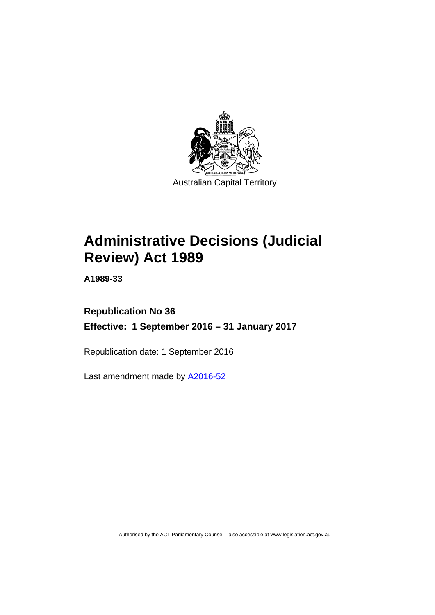

# **Administrative Decisions (Judicial Review) Act 1989**

**A1989-33** 

# **Republication No 36 Effective: 1 September 2016 – 31 January 2017**

Republication date: 1 September 2016

Last amendment made by [A2016-52](http://www.legislation.act.gov.au/a/2016-52)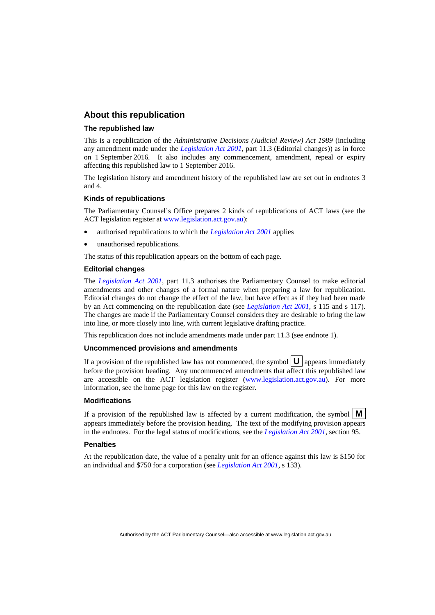# **About this republication**

#### **The republished law**

This is a republication of the *Administrative Decisions (Judicial Review) Act 1989* (including any amendment made under the *[Legislation Act 2001](http://www.legislation.act.gov.au/a/2001-14)*, part 11.3 (Editorial changes)) as in force on 1 September 2016*.* It also includes any commencement, amendment, repeal or expiry affecting this republished law to 1 September 2016.

The legislation history and amendment history of the republished law are set out in endnotes 3 and 4.

#### **Kinds of republications**

The Parliamentary Counsel's Office prepares 2 kinds of republications of ACT laws (see the ACT legislation register at [www.legislation.act.gov.au](http://www.legislation.act.gov.au/)):

- authorised republications to which the *[Legislation Act 2001](http://www.legislation.act.gov.au/a/2001-14)* applies
- unauthorised republications.

The status of this republication appears on the bottom of each page.

#### **Editorial changes**

The *[Legislation Act 2001](http://www.legislation.act.gov.au/a/2001-14)*, part 11.3 authorises the Parliamentary Counsel to make editorial amendments and other changes of a formal nature when preparing a law for republication. Editorial changes do not change the effect of the law, but have effect as if they had been made by an Act commencing on the republication date (see *[Legislation Act 2001](http://www.legislation.act.gov.au/a/2001-14)*, s 115 and s 117). The changes are made if the Parliamentary Counsel considers they are desirable to bring the law into line, or more closely into line, with current legislative drafting practice.

This republication does not include amendments made under part 11.3 (see endnote 1).

#### **Uncommenced provisions and amendments**

If a provision of the republished law has not commenced, the symbol  $\mathbf{U}$  appears immediately before the provision heading. Any uncommenced amendments that affect this republished law are accessible on the ACT legislation register [\(www.legislation.act.gov.au\)](http://www.legislation.act.gov.au/). For more information, see the home page for this law on the register.

#### **Modifications**

If a provision of the republished law is affected by a current modification, the symbol  $\mathbf{M}$ appears immediately before the provision heading. The text of the modifying provision appears in the endnotes. For the legal status of modifications, see the *[Legislation Act 2001](http://www.legislation.act.gov.au/a/2001-14)*, section 95.

#### **Penalties**

At the republication date, the value of a penalty unit for an offence against this law is \$150 for an individual and \$750 for a corporation (see *[Legislation Act 2001](http://www.legislation.act.gov.au/a/2001-14)*, s 133).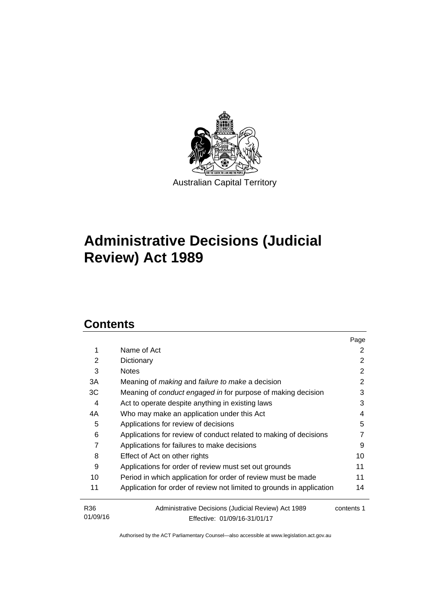

# **Administrative Decisions (Judicial Review) Act 1989**

# **Contents**

|                             |                                                                                     | Page       |
|-----------------------------|-------------------------------------------------------------------------------------|------------|
| 1                           | Name of Act                                                                         | 2          |
| 2                           | Dictionary                                                                          | 2          |
| 3                           | <b>Notes</b>                                                                        | 2          |
| 3A                          | Meaning of <i>making</i> and <i>failure to make</i> a decision                      | 2          |
| ЗC                          | Meaning of conduct engaged in for purpose of making decision                        | 3          |
| 4                           | Act to operate despite anything in existing laws                                    | 3          |
| 4A                          | Who may make an application under this Act                                          | 4          |
| 5                           | Applications for review of decisions                                                | 5          |
| 6                           | Applications for review of conduct related to making of decisions                   |            |
| 7                           | Applications for failures to make decisions                                         | 9          |
| 8                           | Effect of Act on other rights                                                       | 10         |
| 9                           | Applications for order of review must set out grounds                               | 11         |
| 10                          | Period in which application for order of review must be made                        | 11         |
| 11                          | Application for order of review not limited to grounds in application               | 14         |
| R <sub>36</sub><br>01/09/16 | Administrative Decisions (Judicial Review) Act 1989<br>Effective: 01/09/16-31/01/17 | contents 1 |
|                             |                                                                                     |            |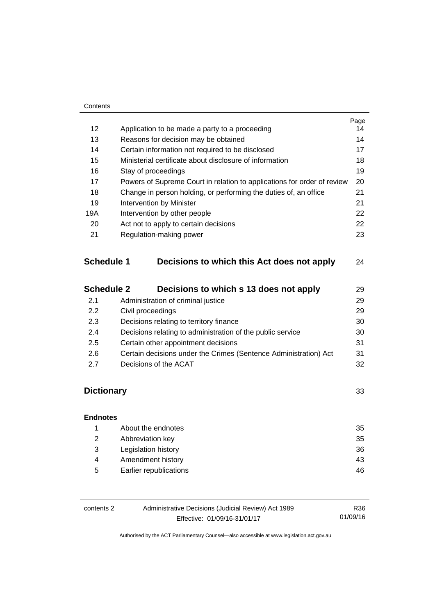#### **Contents**

|                   |                                       |                                                                         | Page |
|-------------------|---------------------------------------|-------------------------------------------------------------------------|------|
| 12                |                                       | Application to be made a party to a proceeding                          | 14   |
| 13                |                                       | Reasons for decision may be obtained                                    | 14   |
| 14                |                                       | Certain information not required to be disclosed                        | 17   |
| 15                |                                       | Ministerial certificate about disclosure of information                 | 18   |
| 16                |                                       | Stay of proceedings                                                     | 19   |
| 17                |                                       | Powers of Supreme Court in relation to applications for order of review | 20   |
| 18                |                                       | Change in person holding, or performing the duties of, an office        | 21   |
| 19                | 21<br>Intervention by Minister        |                                                                         |      |
| 19A               | Intervention by other people          |                                                                         | 22   |
| 20                | Act not to apply to certain decisions |                                                                         | 22   |
| 21                |                                       | Regulation-making power                                                 | 23   |
| <b>Schedule 1</b> |                                       | Decisions to which this Act does not apply                              | 24   |
| <b>Schedule 2</b> |                                       | Decisions to which s 13 does not apply                                  | 29   |
| 21                |                                       | Administration of criminal justice                                      | 29   |

|     |                                                                  | ້  |
|-----|------------------------------------------------------------------|----|
| 2.2 | Civil proceedings                                                | 29 |
| 2.3 | Decisions relating to territory finance                          | 30 |
| 2.4 | Decisions relating to administration of the public service       | 30 |
| 2.5 | Certain other appointment decisions                              | 31 |
| 2.6 | Certain decisions under the Crimes (Sentence Administration) Act | 31 |
| 2.7 | Decisions of the ACAT                                            | 32 |

# **[Dictionary](#page-36-0)** [33](#page-36-0)

# **[Endnotes](#page-38-0)** 1 [About the endnotes 35](#page-38-1) 2 [Abbreviation key 35](#page-38-2) 3 [Legislation history 36](#page-39-0) 4 Amendment history **43** 5 [Earlier republications 46](#page-49-0)

| contents 2 | Administrative Decisions (Judicial Review) Act 1989 | R36      |
|------------|-----------------------------------------------------|----------|
|            | Effective: 01/09/16-31/01/17                        | 01/09/16 |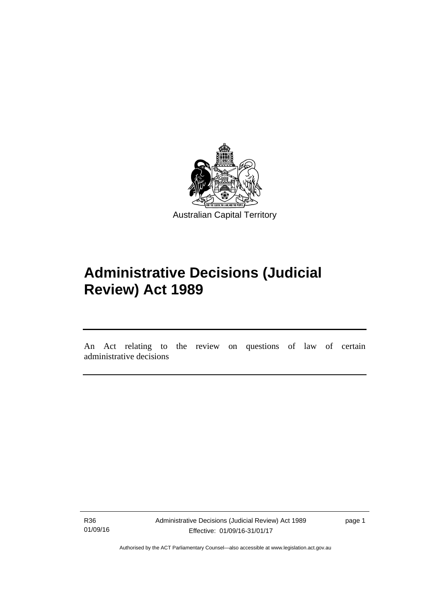

# **Administrative Decisions (Judicial Review) Act 1989**

An Act relating to the review on questions of law of certain administrative decisions

R36 01/09/16

l

Administrative Decisions (Judicial Review) Act 1989 Effective: 01/09/16-31/01/17

page 1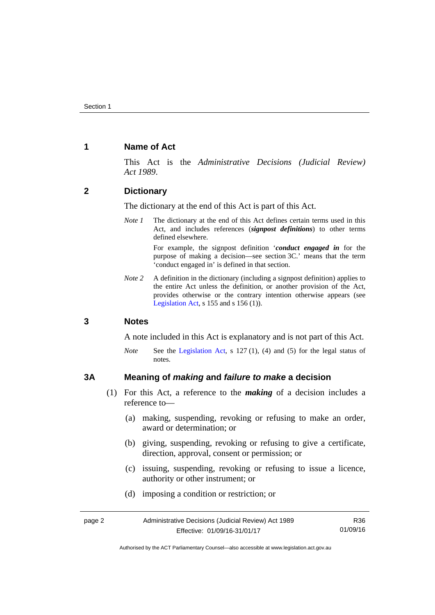# <span id="page-5-0"></span>**1 Name of Act**

This Act is the *Administrative Decisions (Judicial Review) Act 1989*.

# <span id="page-5-1"></span>**2 Dictionary**

The dictionary at the end of this Act is part of this Act.

*Note 1* The dictionary at the end of this Act defines certain terms used in this Act, and includes references (*signpost definitions*) to other terms defined elsewhere.

> For example, the signpost definition '*conduct engaged in* for the purpose of making a decision—see section 3C.' means that the term 'conduct engaged in' is defined in that section.

*Note* 2 A definition in the dictionary (including a signpost definition) applies to the entire Act unless the definition, or another provision of the Act, provides otherwise or the contrary intention otherwise appears (see [Legislation Act,](http://www.legislation.act.gov.au/a/2001-14) s  $155$  and s  $156$  (1)).

# <span id="page-5-2"></span>**3 Notes**

A note included in this Act is explanatory and is not part of this Act.

*Note* See the [Legislation Act,](http://www.legislation.act.gov.au/a/2001-14) s 127 (1), (4) and (5) for the legal status of notes.

# <span id="page-5-3"></span>**3A Meaning of** *making* **and** *failure to make* **a decision**

- (1) For this Act, a reference to the *making* of a decision includes a reference to—
	- (a) making, suspending, revoking or refusing to make an order, award or determination; or
	- (b) giving, suspending, revoking or refusing to give a certificate, direction, approval, consent or permission; or
	- (c) issuing, suspending, revoking or refusing to issue a licence, authority or other instrument; or
	- (d) imposing a condition or restriction; or

Authorised by the ACT Parliamentary Counsel—also accessible at www.legislation.act.gov.au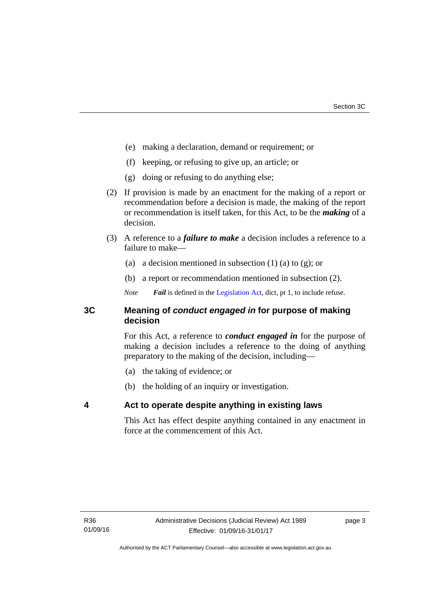- (e) making a declaration, demand or requirement; or
- (f) keeping, or refusing to give up, an article; or
- (g) doing or refusing to do anything else;
- (2) If provision is made by an enactment for the making of a report or recommendation before a decision is made, the making of the report or recommendation is itself taken, for this Act, to be the *making* of a decision.
- (3) A reference to a *failure to make* a decision includes a reference to a failure to make—
	- (a) a decision mentioned in subsection  $(1)$  (a) to  $(g)$ ; or
	- (b) a report or recommendation mentioned in subsection (2).
	- *Note Fail* is defined in the [Legislation Act](http://www.legislation.act.gov.au/a/2001-14), dict, pt 1, to include refuse.

# <span id="page-6-0"></span>**3C Meaning of** *conduct engaged in* **for purpose of making decision**

For this Act, a reference to *conduct engaged in* for the purpose of making a decision includes a reference to the doing of anything preparatory to the making of the decision, including—

- (a) the taking of evidence; or
- (b) the holding of an inquiry or investigation.

# <span id="page-6-1"></span>**4 Act to operate despite anything in existing laws**

This Act has effect despite anything contained in any enactment in force at the commencement of this Act.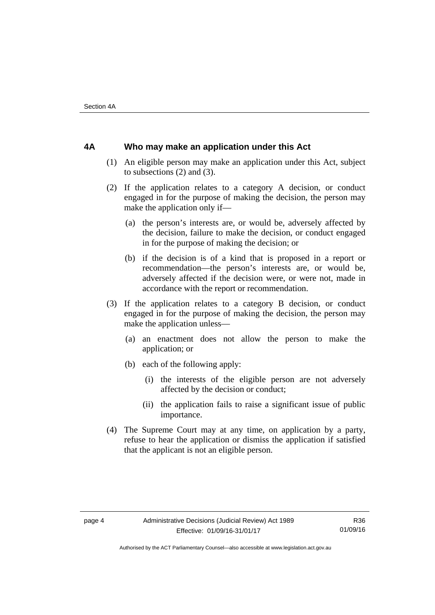# <span id="page-7-0"></span>**4A Who may make an application under this Act**

- (1) An eligible person may make an application under this Act, subject to subsections (2) and (3).
- (2) If the application relates to a category A decision, or conduct engaged in for the purpose of making the decision, the person may make the application only if—
	- (a) the person's interests are, or would be, adversely affected by the decision, failure to make the decision, or conduct engaged in for the purpose of making the decision; or
	- (b) if the decision is of a kind that is proposed in a report or recommendation—the person's interests are, or would be, adversely affected if the decision were, or were not, made in accordance with the report or recommendation.
- (3) If the application relates to a category B decision, or conduct engaged in for the purpose of making the decision, the person may make the application unless—
	- (a) an enactment does not allow the person to make the application; or
	- (b) each of the following apply:
		- (i) the interests of the eligible person are not adversely affected by the decision or conduct;
		- (ii) the application fails to raise a significant issue of public importance.
- (4) The Supreme Court may at any time, on application by a party, refuse to hear the application or dismiss the application if satisfied that the applicant is not an eligible person.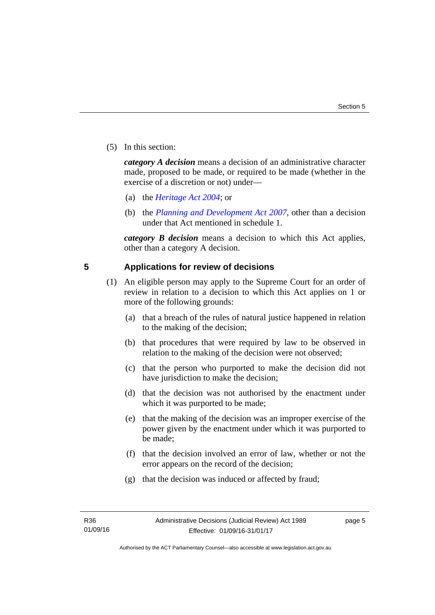(5) In this section:

*category A decision* means a decision of an administrative character made, proposed to be made, or required to be made (whether in the exercise of a discretion or not) under—

- (a) the *[Heritage Act 2004](http://www.legislation.act.gov.au/a/2004-57/default.asp)*; or
- (b) the *[Planning and Development Act 2007](http://www.legislation.act.gov.au/a/2007-24/default.asp)*, other than a decision under that Act mentioned in schedule 1.

*category B decision* means a decision to which this Act applies, other than a category A decision.

# <span id="page-8-0"></span>**5 Applications for review of decisions**

- (1) An eligible person may apply to the Supreme Court for an order of review in relation to a decision to which this Act applies on 1 or more of the following grounds:
	- (a) that a breach of the rules of natural justice happened in relation to the making of the decision;
	- (b) that procedures that were required by law to be observed in relation to the making of the decision were not observed;
	- (c) that the person who purported to make the decision did not have jurisdiction to make the decision;
	- (d) that the decision was not authorised by the enactment under which it was purported to be made;
	- (e) that the making of the decision was an improper exercise of the power given by the enactment under which it was purported to be made;
	- (f) that the decision involved an error of law, whether or not the error appears on the record of the decision;
	- (g) that the decision was induced or affected by fraud;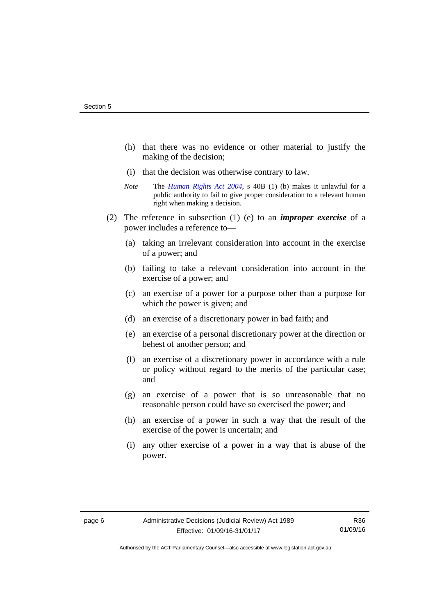- (h) that there was no evidence or other material to justify the making of the decision;
- (i) that the decision was otherwise contrary to law.
- *Note* The *[Human Rights Act 2004](http://www.legislation.act.gov.au/a/2004-5)*, s 40B (1) (b) makes it unlawful for a public authority to fail to give proper consideration to a relevant human right when making a decision.
- (2) The reference in subsection (1) (e) to an *improper exercise* of a power includes a reference to—
	- (a) taking an irrelevant consideration into account in the exercise of a power; and
	- (b) failing to take a relevant consideration into account in the exercise of a power; and
	- (c) an exercise of a power for a purpose other than a purpose for which the power is given; and
	- (d) an exercise of a discretionary power in bad faith; and
	- (e) an exercise of a personal discretionary power at the direction or behest of another person; and
	- (f) an exercise of a discretionary power in accordance with a rule or policy without regard to the merits of the particular case; and
	- (g) an exercise of a power that is so unreasonable that no reasonable person could have so exercised the power; and
	- (h) an exercise of a power in such a way that the result of the exercise of the power is uncertain; and
	- (i) any other exercise of a power in a way that is abuse of the power.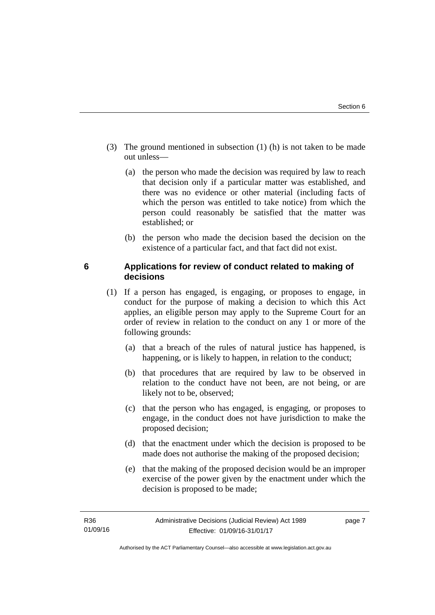- (3) The ground mentioned in subsection (1) (h) is not taken to be made out unless—
	- (a) the person who made the decision was required by law to reach that decision only if a particular matter was established, and there was no evidence or other material (including facts of which the person was entitled to take notice) from which the person could reasonably be satisfied that the matter was established; or
	- (b) the person who made the decision based the decision on the existence of a particular fact, and that fact did not exist.

# <span id="page-10-0"></span>**6 Applications for review of conduct related to making of decisions**

- (1) If a person has engaged, is engaging, or proposes to engage, in conduct for the purpose of making a decision to which this Act applies, an eligible person may apply to the Supreme Court for an order of review in relation to the conduct on any 1 or more of the following grounds:
	- (a) that a breach of the rules of natural justice has happened, is happening, or is likely to happen, in relation to the conduct;
	- (b) that procedures that are required by law to be observed in relation to the conduct have not been, are not being, or are likely not to be, observed;
	- (c) that the person who has engaged, is engaging, or proposes to engage, in the conduct does not have jurisdiction to make the proposed decision;
	- (d) that the enactment under which the decision is proposed to be made does not authorise the making of the proposed decision;
	- (e) that the making of the proposed decision would be an improper exercise of the power given by the enactment under which the decision is proposed to be made;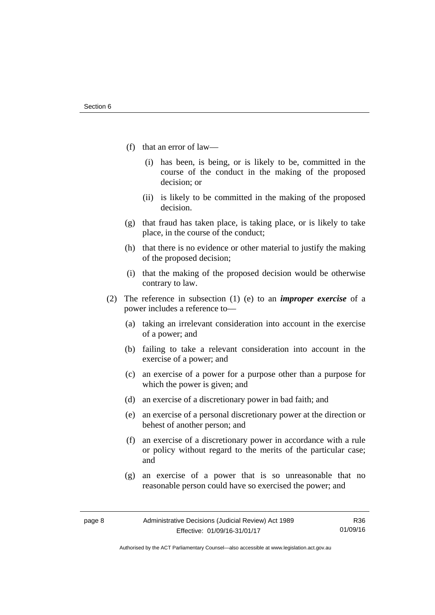- (f) that an error of law—
	- (i) has been, is being, or is likely to be, committed in the course of the conduct in the making of the proposed decision; or
	- (ii) is likely to be committed in the making of the proposed decision.
- (g) that fraud has taken place, is taking place, or is likely to take place, in the course of the conduct;
- (h) that there is no evidence or other material to justify the making of the proposed decision;
- (i) that the making of the proposed decision would be otherwise contrary to law.
- (2) The reference in subsection (1) (e) to an *improper exercise* of a power includes a reference to—
	- (a) taking an irrelevant consideration into account in the exercise of a power; and
	- (b) failing to take a relevant consideration into account in the exercise of a power; and
	- (c) an exercise of a power for a purpose other than a purpose for which the power is given; and
	- (d) an exercise of a discretionary power in bad faith; and
	- (e) an exercise of a personal discretionary power at the direction or behest of another person; and
	- (f) an exercise of a discretionary power in accordance with a rule or policy without regard to the merits of the particular case; and
	- (g) an exercise of a power that is so unreasonable that no reasonable person could have so exercised the power; and

Authorised by the ACT Parliamentary Counsel—also accessible at www.legislation.act.gov.au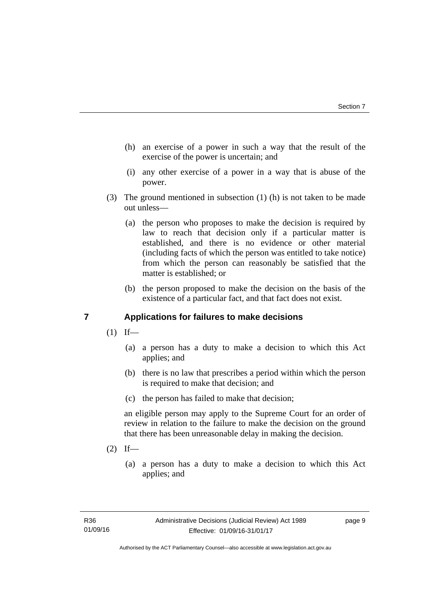- (h) an exercise of a power in such a way that the result of the exercise of the power is uncertain; and
- (i) any other exercise of a power in a way that is abuse of the power.
- (3) The ground mentioned in subsection (1) (h) is not taken to be made out unless—
	- (a) the person who proposes to make the decision is required by law to reach that decision only if a particular matter is established, and there is no evidence or other material (including facts of which the person was entitled to take notice) from which the person can reasonably be satisfied that the matter is established; or
	- (b) the person proposed to make the decision on the basis of the existence of a particular fact, and that fact does not exist.

# <span id="page-12-0"></span>**7 Applications for failures to make decisions**

- $(1)$  If—
	- (a) a person has a duty to make a decision to which this Act applies; and
	- (b) there is no law that prescribes a period within which the person is required to make that decision; and
	- (c) the person has failed to make that decision;

an eligible person may apply to the Supreme Court for an order of review in relation to the failure to make the decision on the ground that there has been unreasonable delay in making the decision.

- $(2)$  If—
	- (a) a person has a duty to make a decision to which this Act applies; and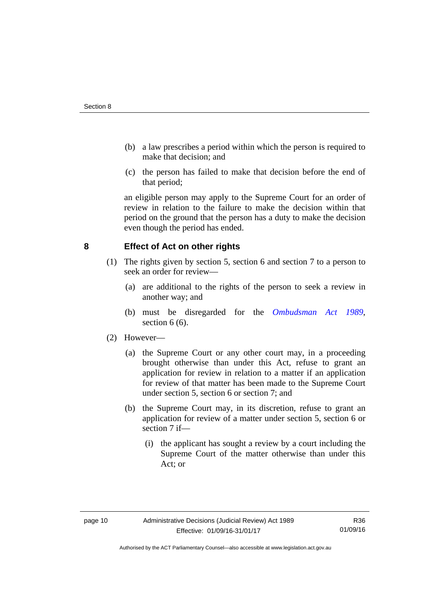- (b) a law prescribes a period within which the person is required to make that decision; and
- (c) the person has failed to make that decision before the end of that period;

an eligible person may apply to the Supreme Court for an order of review in relation to the failure to make the decision within that period on the ground that the person has a duty to make the decision even though the period has ended.

# <span id="page-13-0"></span>**8 Effect of Act on other rights**

- (1) The rights given by section 5, section 6 and section 7 to a person to seek an order for review—
	- (a) are additional to the rights of the person to seek a review in another way; and
	- (b) must be disregarded for the *[Ombudsman Act 1989](http://www.legislation.act.gov.au/a/alt_a1989-45co)*, section  $6(6)$ .

# (2) However—

- (a) the Supreme Court or any other court may, in a proceeding brought otherwise than under this Act, refuse to grant an application for review in relation to a matter if an application for review of that matter has been made to the Supreme Court under section 5, section 6 or section 7; and
- (b) the Supreme Court may, in its discretion, refuse to grant an application for review of a matter under section 5, section 6 or section 7 if—
	- (i) the applicant has sought a review by a court including the Supreme Court of the matter otherwise than under this Act; or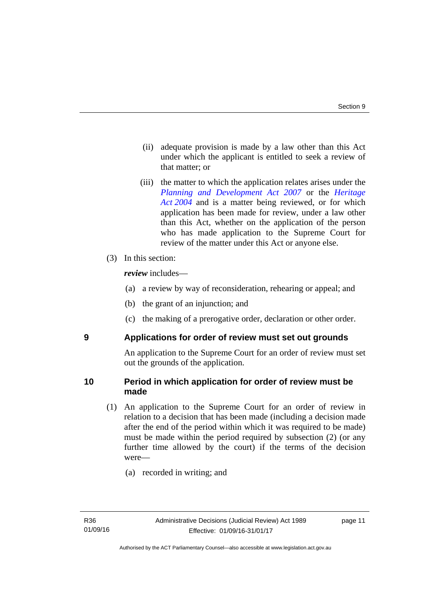- (ii) adequate provision is made by a law other than this Act under which the applicant is entitled to seek a review of that matter; or
- (iii) the matter to which the application relates arises under the *[Planning and Development Act 2007](http://www.legislation.act.gov.au/a/2007-24)* or the *[Heritage](http://www.legislation.act.gov.au/a/2004-57)*  [Act 2004](http://www.legislation.act.gov.au/a/2004-57) and is a matter being reviewed, or for which application has been made for review, under a law other than this Act, whether on the application of the person who has made application to the Supreme Court for review of the matter under this Act or anyone else.
- (3) In this section:

*review* includes—

- (a) a review by way of reconsideration, rehearing or appeal; and
- (b) the grant of an injunction; and
- (c) the making of a prerogative order, declaration or other order.

<span id="page-14-0"></span>

# **9 Applications for order of review must set out grounds**

An application to the Supreme Court for an order of review must set out the grounds of the application.

# <span id="page-14-1"></span>**10 Period in which application for order of review must be made**

- (1) An application to the Supreme Court for an order of review in relation to a decision that has been made (including a decision made after the end of the period within which it was required to be made) must be made within the period required by subsection (2) (or any further time allowed by the court) if the terms of the decision were—
	- (a) recorded in writing; and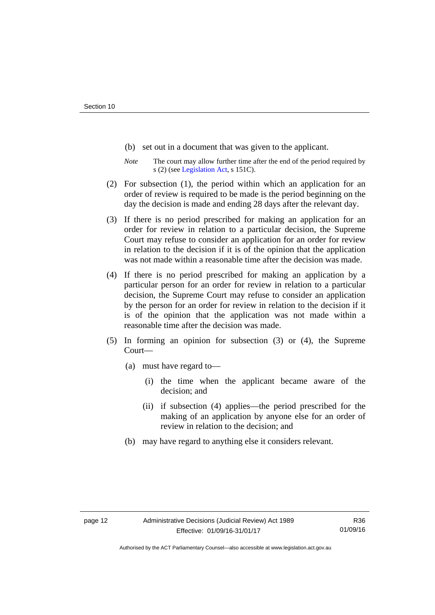- (b) set out in a document that was given to the applicant.
- *Note* The court may allow further time after the end of the period required by s (2) (see [Legislation Act](http://www.legislation.act.gov.au/a/2001-14), s 151C).
- (2) For subsection (1), the period within which an application for an order of review is required to be made is the period beginning on the day the decision is made and ending 28 days after the relevant day.
- (3) If there is no period prescribed for making an application for an order for review in relation to a particular decision, the Supreme Court may refuse to consider an application for an order for review in relation to the decision if it is of the opinion that the application was not made within a reasonable time after the decision was made.
- (4) If there is no period prescribed for making an application by a particular person for an order for review in relation to a particular decision, the Supreme Court may refuse to consider an application by the person for an order for review in relation to the decision if it is of the opinion that the application was not made within a reasonable time after the decision was made.
- (5) In forming an opinion for subsection (3) or (4), the Supreme Court—
	- (a) must have regard to—
		- (i) the time when the applicant became aware of the decision; and
		- (ii) if subsection (4) applies—the period prescribed for the making of an application by anyone else for an order of review in relation to the decision; and
	- (b) may have regard to anything else it considers relevant.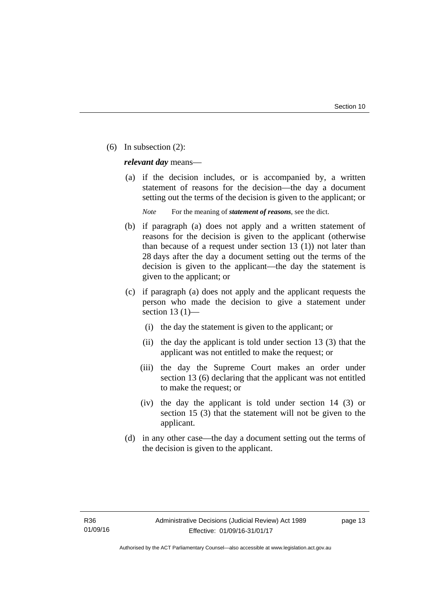(6) In subsection (2):

*relevant day* means—

 (a) if the decision includes, or is accompanied by, a written statement of reasons for the decision—the day a document setting out the terms of the decision is given to the applicant; or

*Note* For the meaning of *statement of reasons*, see the dict.

- (b) if paragraph (a) does not apply and a written statement of reasons for the decision is given to the applicant (otherwise than because of a request under section 13 (1)) not later than 28 days after the day a document setting out the terms of the decision is given to the applicant—the day the statement is given to the applicant; or
- (c) if paragraph (a) does not apply and the applicant requests the person who made the decision to give a statement under section 13 $(1)$ —
	- (i) the day the statement is given to the applicant; or
	- (ii) the day the applicant is told under section 13 (3) that the applicant was not entitled to make the request; or
	- (iii) the day the Supreme Court makes an order under section 13 (6) declaring that the applicant was not entitled to make the request; or
	- (iv) the day the applicant is told under section 14 (3) or section 15 (3) that the statement will not be given to the applicant.
- (d) in any other case—the day a document setting out the terms of the decision is given to the applicant.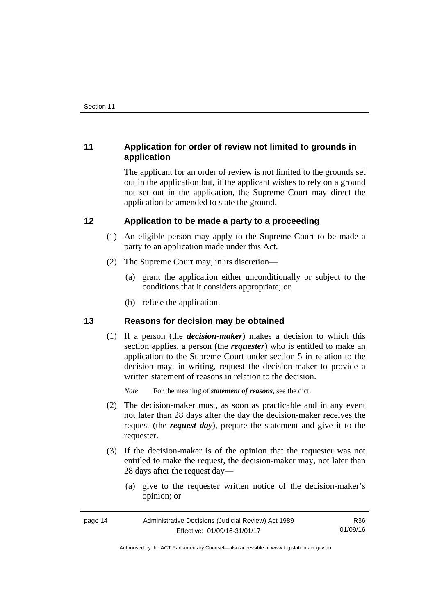# <span id="page-17-0"></span>**11 Application for order of review not limited to grounds in application**

The applicant for an order of review is not limited to the grounds set out in the application but, if the applicant wishes to rely on a ground not set out in the application, the Supreme Court may direct the application be amended to state the ground.

# <span id="page-17-1"></span>**12 Application to be made a party to a proceeding**

- (1) An eligible person may apply to the Supreme Court to be made a party to an application made under this Act.
- (2) The Supreme Court may, in its discretion—
	- (a) grant the application either unconditionally or subject to the conditions that it considers appropriate; or
	- (b) refuse the application.

# <span id="page-17-2"></span>**13 Reasons for decision may be obtained**

(1) If a person (the *decision-maker*) makes a decision to which this section applies, a person (the *requester*) who is entitled to make an application to the Supreme Court under section 5 in relation to the decision may, in writing, request the decision-maker to provide a written statement of reasons in relation to the decision.

*Note* For the meaning of *statement of reasons*, see the dict.

- (2) The decision-maker must, as soon as practicable and in any event not later than 28 days after the day the decision-maker receives the request (the *request day*), prepare the statement and give it to the requester.
- (3) If the decision-maker is of the opinion that the requester was not entitled to make the request, the decision-maker may, not later than 28 days after the request day—
	- (a) give to the requester written notice of the decision-maker's opinion; or

| page 14 | Administrative Decisions (Judicial Review) Act 1989 | R36      |
|---------|-----------------------------------------------------|----------|
|         | Effective: 01/09/16-31/01/17                        | 01/09/16 |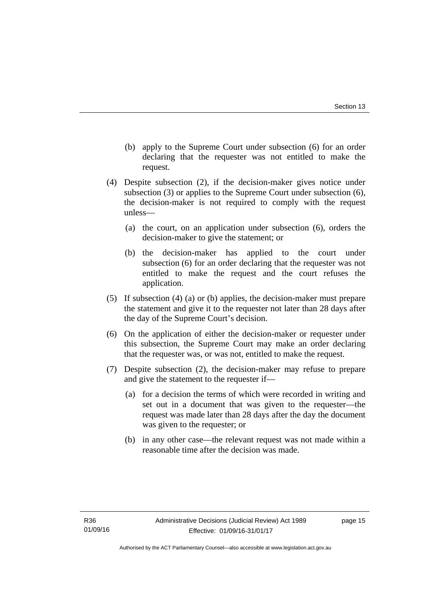- (b) apply to the Supreme Court under subsection (6) for an order declaring that the requester was not entitled to make the request.
- (4) Despite subsection (2), if the decision-maker gives notice under subsection (3) or applies to the Supreme Court under subsection (6), the decision-maker is not required to comply with the request unless—
	- (a) the court, on an application under subsection (6), orders the decision-maker to give the statement; or
	- (b) the decision-maker has applied to the court under subsection (6) for an order declaring that the requester was not entitled to make the request and the court refuses the application.
- (5) If subsection (4) (a) or (b) applies, the decision-maker must prepare the statement and give it to the requester not later than 28 days after the day of the Supreme Court's decision.
- (6) On the application of either the decision-maker or requester under this subsection, the Supreme Court may make an order declaring that the requester was, or was not, entitled to make the request.
- (7) Despite subsection (2), the decision-maker may refuse to prepare and give the statement to the requester if—
	- (a) for a decision the terms of which were recorded in writing and set out in a document that was given to the requester—the request was made later than 28 days after the day the document was given to the requester; or
	- (b) in any other case—the relevant request was not made within a reasonable time after the decision was made.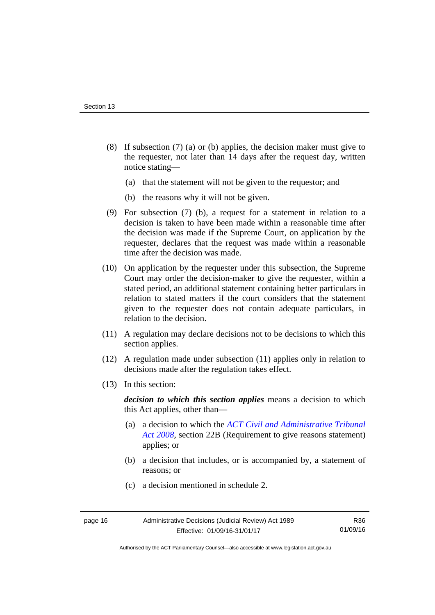- (8) If subsection (7) (a) or (b) applies, the decision maker must give to the requester, not later than 14 days after the request day, written notice stating—
	- (a) that the statement will not be given to the requestor; and
	- (b) the reasons why it will not be given.
- (9) For subsection (7) (b), a request for a statement in relation to a decision is taken to have been made within a reasonable time after the decision was made if the Supreme Court, on application by the requester, declares that the request was made within a reasonable time after the decision was made.
- (10) On application by the requester under this subsection, the Supreme Court may order the decision-maker to give the requester, within a stated period, an additional statement containing better particulars in relation to stated matters if the court considers that the statement given to the requester does not contain adequate particulars, in relation to the decision.
- (11) A regulation may declare decisions not to be decisions to which this section applies.
- (12) A regulation made under subsection (11) applies only in relation to decisions made after the regulation takes effect.
- (13) In this section:

*decision to which this section applies* means a decision to which this Act applies, other than—

- (a) a decision to which the *[ACT Civil and Administrative Tribunal](http://www.legislation.act.gov.au/a/2008-35)  [Act 2008](http://www.legislation.act.gov.au/a/2008-35)*, section 22B (Requirement to give reasons statement) applies; or
- (b) a decision that includes, or is accompanied by, a statement of reasons; or
- (c) a decision mentioned in schedule 2.

Authorised by the ACT Parliamentary Counsel—also accessible at www.legislation.act.gov.au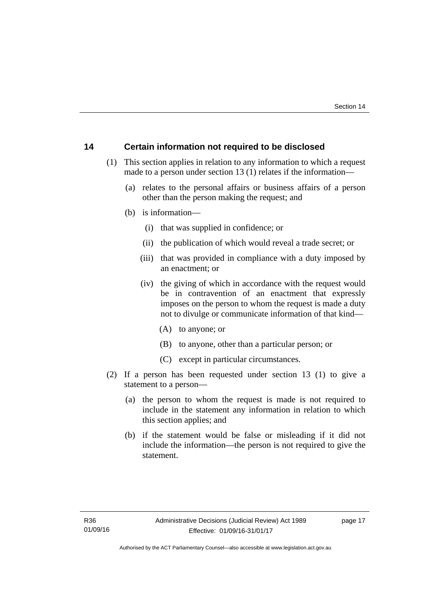# <span id="page-20-0"></span>**14 Certain information not required to be disclosed**

- (1) This section applies in relation to any information to which a request made to a person under section 13 (1) relates if the information—
	- (a) relates to the personal affairs or business affairs of a person other than the person making the request; and
	- (b) is information—
		- (i) that was supplied in confidence; or
		- (ii) the publication of which would reveal a trade secret; or
		- (iii) that was provided in compliance with a duty imposed by an enactment; or
		- (iv) the giving of which in accordance with the request would be in contravention of an enactment that expressly imposes on the person to whom the request is made a duty not to divulge or communicate information of that kind—
			- (A) to anyone; or
			- (B) to anyone, other than a particular person; or
			- (C) except in particular circumstances.
- (2) If a person has been requested under section 13 (1) to give a statement to a person—
	- (a) the person to whom the request is made is not required to include in the statement any information in relation to which this section applies; and
	- (b) if the statement would be false or misleading if it did not include the information—the person is not required to give the statement.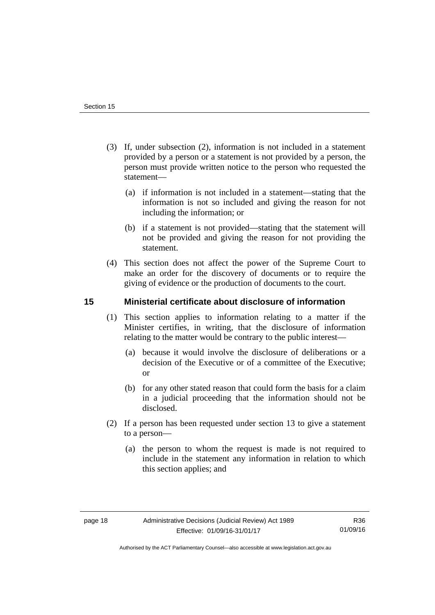- (3) If, under subsection (2), information is not included in a statement provided by a person or a statement is not provided by a person, the person must provide written notice to the person who requested the statement—
	- (a) if information is not included in a statement—stating that the information is not so included and giving the reason for not including the information; or
	- (b) if a statement is not provided—stating that the statement will not be provided and giving the reason for not providing the statement.
- (4) This section does not affect the power of the Supreme Court to make an order for the discovery of documents or to require the giving of evidence or the production of documents to the court.

# <span id="page-21-0"></span>**15 Ministerial certificate about disclosure of information**

- (1) This section applies to information relating to a matter if the Minister certifies, in writing, that the disclosure of information relating to the matter would be contrary to the public interest—
	- (a) because it would involve the disclosure of deliberations or a decision of the Executive or of a committee of the Executive; or
	- (b) for any other stated reason that could form the basis for a claim in a judicial proceeding that the information should not be disclosed.
- (2) If a person has been requested under section 13 to give a statement to a person—
	- (a) the person to whom the request is made is not required to include in the statement any information in relation to which this section applies; and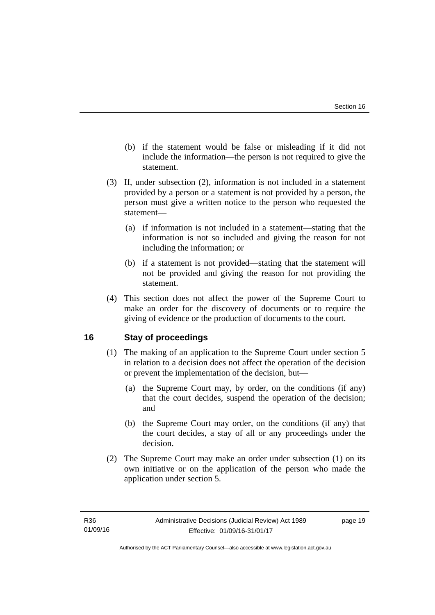- (b) if the statement would be false or misleading if it did not include the information—the person is not required to give the statement.
- (3) If, under subsection (2), information is not included in a statement provided by a person or a statement is not provided by a person, the person must give a written notice to the person who requested the statement—
	- (a) if information is not included in a statement—stating that the information is not so included and giving the reason for not including the information; or
	- (b) if a statement is not provided—stating that the statement will not be provided and giving the reason for not providing the statement.
- (4) This section does not affect the power of the Supreme Court to make an order for the discovery of documents or to require the giving of evidence or the production of documents to the court.

# <span id="page-22-0"></span>**16 Stay of proceedings**

- (1) The making of an application to the Supreme Court under section 5 in relation to a decision does not affect the operation of the decision or prevent the implementation of the decision, but—
	- (a) the Supreme Court may, by order, on the conditions (if any) that the court decides, suspend the operation of the decision; and
	- (b) the Supreme Court may order, on the conditions (if any) that the court decides, a stay of all or any proceedings under the decision.
- (2) The Supreme Court may make an order under subsection (1) on its own initiative or on the application of the person who made the application under section 5.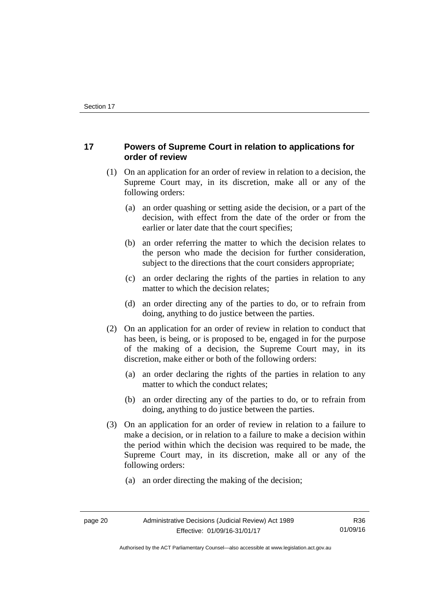# <span id="page-23-0"></span>**17 Powers of Supreme Court in relation to applications for order of review**

- (1) On an application for an order of review in relation to a decision, the Supreme Court may, in its discretion, make all or any of the following orders:
	- (a) an order quashing or setting aside the decision, or a part of the decision, with effect from the date of the order or from the earlier or later date that the court specifies;
	- (b) an order referring the matter to which the decision relates to the person who made the decision for further consideration, subject to the directions that the court considers appropriate;
	- (c) an order declaring the rights of the parties in relation to any matter to which the decision relates;
	- (d) an order directing any of the parties to do, or to refrain from doing, anything to do justice between the parties.
- (2) On an application for an order of review in relation to conduct that has been, is being, or is proposed to be, engaged in for the purpose of the making of a decision, the Supreme Court may, in its discretion, make either or both of the following orders:
	- (a) an order declaring the rights of the parties in relation to any matter to which the conduct relates;
	- (b) an order directing any of the parties to do, or to refrain from doing, anything to do justice between the parties.
- (3) On an application for an order of review in relation to a failure to make a decision, or in relation to a failure to make a decision within the period within which the decision was required to be made, the Supreme Court may, in its discretion, make all or any of the following orders:
	- (a) an order directing the making of the decision;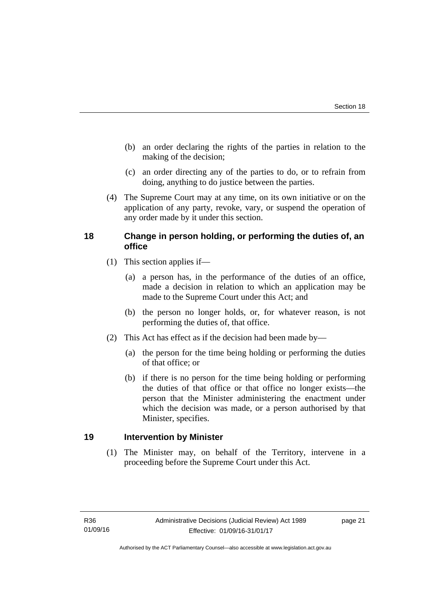- (b) an order declaring the rights of the parties in relation to the making of the decision;
- (c) an order directing any of the parties to do, or to refrain from doing, anything to do justice between the parties.
- (4) The Supreme Court may at any time, on its own initiative or on the application of any party, revoke, vary, or suspend the operation of any order made by it under this section.

# <span id="page-24-0"></span>**18 Change in person holding, or performing the duties of, an office**

- (1) This section applies if—
	- (a) a person has, in the performance of the duties of an office, made a decision in relation to which an application may be made to the Supreme Court under this Act; and
	- (b) the person no longer holds, or, for whatever reason, is not performing the duties of, that office.
- (2) This Act has effect as if the decision had been made by—
	- (a) the person for the time being holding or performing the duties of that office; or
	- (b) if there is no person for the time being holding or performing the duties of that office or that office no longer exists—the person that the Minister administering the enactment under which the decision was made, or a person authorised by that Minister, specifies.

# <span id="page-24-1"></span>**19 Intervention by Minister**

(1) The Minister may, on behalf of the Territory, intervene in a proceeding before the Supreme Court under this Act.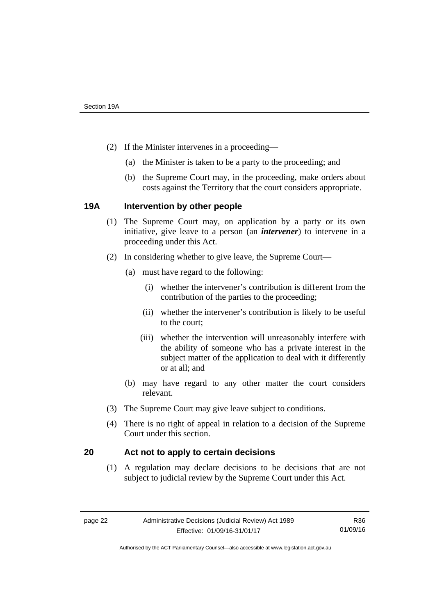- (2) If the Minister intervenes in a proceeding—
	- (a) the Minister is taken to be a party to the proceeding; and
	- (b) the Supreme Court may, in the proceeding, make orders about costs against the Territory that the court considers appropriate.

# <span id="page-25-0"></span>**19A Intervention by other people**

- (1) The Supreme Court may, on application by a party or its own initiative, give leave to a person (an *intervener*) to intervene in a proceeding under this Act.
- (2) In considering whether to give leave, the Supreme Court—
	- (a) must have regard to the following:
		- (i) whether the intervener's contribution is different from the contribution of the parties to the proceeding;
		- (ii) whether the intervener's contribution is likely to be useful to the court;
		- (iii) whether the intervention will unreasonably interfere with the ability of someone who has a private interest in the subject matter of the application to deal with it differently or at all; and
	- (b) may have regard to any other matter the court considers relevant.
- (3) The Supreme Court may give leave subject to conditions.
- (4) There is no right of appeal in relation to a decision of the Supreme Court under this section.

# <span id="page-25-1"></span>**20 Act not to apply to certain decisions**

(1) A regulation may declare decisions to be decisions that are not subject to judicial review by the Supreme Court under this Act.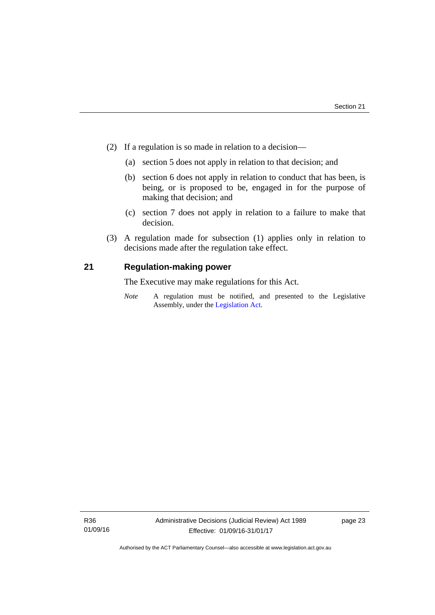- (2) If a regulation is so made in relation to a decision—
	- (a) section 5 does not apply in relation to that decision; and
	- (b) section 6 does not apply in relation to conduct that has been, is being, or is proposed to be, engaged in for the purpose of making that decision; and
	- (c) section 7 does not apply in relation to a failure to make that decision.
- (3) A regulation made for subsection (1) applies only in relation to decisions made after the regulation take effect.

# <span id="page-26-0"></span>**21 Regulation-making power**

The Executive may make regulations for this Act.

*Note* A regulation must be notified, and presented to the Legislative Assembly, under the [Legislation Act](http://www.legislation.act.gov.au/a/2001-14).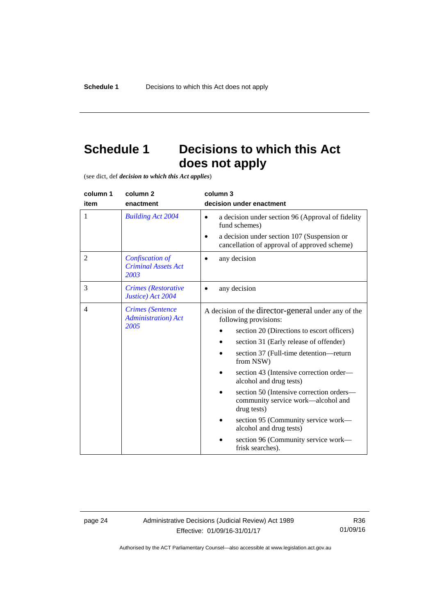# <span id="page-27-0"></span>**Schedule 1 Decisions to which this Act does not apply**

(see dict, def *decision to which this Act applies*)

| column 1<br>item | column <sub>2</sub><br>enactment                               | column 3<br>decision under enactment                                                                                                                                                                                                                                                                                                                                                               |  |
|------------------|----------------------------------------------------------------|----------------------------------------------------------------------------------------------------------------------------------------------------------------------------------------------------------------------------------------------------------------------------------------------------------------------------------------------------------------------------------------------------|--|
| 1                | <b>Building Act 2004</b>                                       | a decision under section 96 (Approval of fidelity<br>$\bullet$<br>fund schemes)                                                                                                                                                                                                                                                                                                                    |  |
|                  |                                                                | a decision under section 107 (Suspension or<br>cancellation of approval of approved scheme)                                                                                                                                                                                                                                                                                                        |  |
| $\overline{2}$   | Confiscation of<br><b>Criminal Assets Act</b><br>2003          | any decision                                                                                                                                                                                                                                                                                                                                                                                       |  |
| 3                | <b>Crimes</b> (Restorative<br>Justice) Act 2004                | any decision                                                                                                                                                                                                                                                                                                                                                                                       |  |
| $\overline{4}$   | <b>Crimes</b> (Sentence<br><b>Administration</b> ) Act<br>2005 | A decision of the director-general under any of the<br>following provisions:<br>section 20 (Directions to escort officers)<br>section 31 (Early release of offender)<br>section 37 (Full-time detention-return<br>from NSW)<br>section 43 (Intensive correction order—<br>alcohol and drug tests)<br>section 50 (Intensive correction orders-<br>community service work—alcohol and<br>drug tests) |  |
|                  |                                                                | section 95 (Community service work—<br>alcohol and drug tests)                                                                                                                                                                                                                                                                                                                                     |  |
|                  |                                                                | section 96 (Community service work-<br>frisk searches).                                                                                                                                                                                                                                                                                                                                            |  |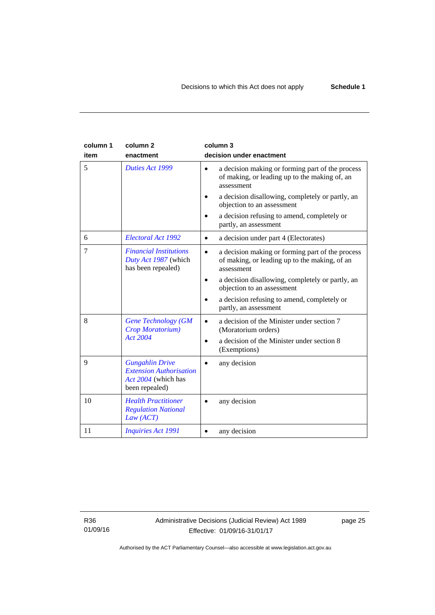| column 1<br>item | column <sub>2</sub><br>enactment                                                                  | column 3<br>decision under enactment                                                                                         |
|------------------|---------------------------------------------------------------------------------------------------|------------------------------------------------------------------------------------------------------------------------------|
| 5                | Duties Act 1999                                                                                   | a decision making or forming part of the process<br>$\bullet$<br>of making, or leading up to the making of, an<br>assessment |
|                  |                                                                                                   | a decision disallowing, completely or partly, an<br>objection to an assessment                                               |
|                  |                                                                                                   | a decision refusing to amend, completely or<br>partly, an assessment                                                         |
| 6                | Electoral Act 1992                                                                                | a decision under part 4 (Electorates)<br>$\bullet$                                                                           |
| 7                | <b>Financial Institutions</b><br>Duty Act 1987 (which<br>has been repealed)                       | a decision making or forming part of the process<br>$\bullet$<br>of making, or leading up to the making, of an<br>assessment |
|                  |                                                                                                   | a decision disallowing, completely or partly, an<br>٠<br>objection to an assessment                                          |
|                  |                                                                                                   | a decision refusing to amend, completely or<br>partly, an assessment                                                         |
| 8                | <b>Gene Technology (GM</b><br>Crop Moratorium)                                                    | a decision of the Minister under section 7<br>(Moratorium orders)                                                            |
|                  | <b>Act 2004</b>                                                                                   | a decision of the Minister under section 8<br>٠<br>(Exemptions)                                                              |
| 9                | <b>Gungahlin Drive</b><br><b>Extension Authorisation</b><br>Act 2004 (which has<br>been repealed) | any decision                                                                                                                 |
| 10               | <b>Health Practitioner</b><br><b>Regulation National</b><br>Law (ACT)                             | any decision                                                                                                                 |
| 11               | <b>Inquiries Act 1991</b>                                                                         | any decision                                                                                                                 |

R36 01/09/16 page 25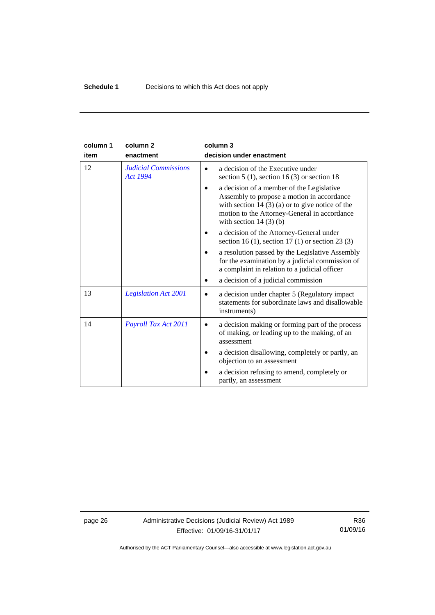| column 1 | column <sub>2</sub>                            | column 3                                                                                                                                                                                                               |
|----------|------------------------------------------------|------------------------------------------------------------------------------------------------------------------------------------------------------------------------------------------------------------------------|
| item     | enactment                                      | decision under enactment                                                                                                                                                                                               |
| 12       | <b>Judicial Commissions</b><br><b>Act 1994</b> | a decision of the Executive under<br>section $5(1)$ , section $16(3)$ or section 18                                                                                                                                    |
|          |                                                | a decision of a member of the Legislative<br>Assembly to propose a motion in accordance<br>with section $14(3)(a)$ or to give notice of the<br>motion to the Attorney-General in accordance<br>with section $14(3)(b)$ |
|          |                                                | a decision of the Attorney-General under<br>section 16 (1), section 17 (1) or section 23 (3)                                                                                                                           |
|          |                                                | a resolution passed by the Legislative Assembly<br>for the examination by a judicial commission of<br>a complaint in relation to a judicial officer                                                                    |
|          |                                                | a decision of a judicial commission                                                                                                                                                                                    |
| 13       | <b>Legislation Act 2001</b>                    | a decision under chapter 5 (Regulatory impact)<br>$\bullet$<br>statements for subordinate laws and disallowable<br>instruments)                                                                                        |
| 14       | Payroll Tax Act 2011                           | a decision making or forming part of the process<br>of making, or leading up to the making, of an<br>assessment                                                                                                        |
|          |                                                | a decision disallowing, completely or partly, an<br>objection to an assessment                                                                                                                                         |
|          |                                                | a decision refusing to amend, completely or<br>partly, an assessment                                                                                                                                                   |

page 26 Administrative Decisions (Judicial Review) Act 1989 Effective: 01/09/16-31/01/17

R36 01/09/16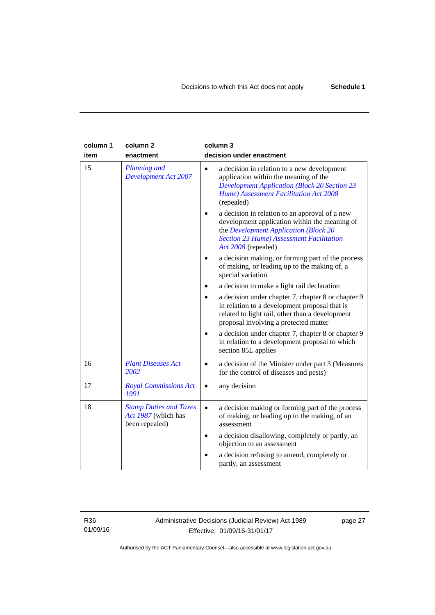| column 1<br>item | column <sub>2</sub><br>enactment                                       | column 3<br>decision under enactment                                                                                                                                                                               |
|------------------|------------------------------------------------------------------------|--------------------------------------------------------------------------------------------------------------------------------------------------------------------------------------------------------------------|
| 15               | <b>Planning and</b><br><b>Development Act 2007</b>                     | a decision in relation to a new development<br>$\bullet$<br>application within the meaning of the<br><b>Development Application (Block 20 Section 23</b><br>Hume) Assessment Facilitation Act 2008<br>(repealed)   |
|                  |                                                                        | a decision in relation to an approval of a new<br>development application within the meaning of<br>the Development Application (Block 20<br><b>Section 23 Hume) Assessment Facilitation</b><br>Act 2008 (repealed) |
|                  |                                                                        | a decision making, or forming part of the process<br>of making, or leading up to the making of, a<br>special variation                                                                                             |
|                  |                                                                        | a decision to make a light rail declaration                                                                                                                                                                        |
|                  |                                                                        | a decision under chapter 7, chapter 8 or chapter 9<br>in relation to a development proposal that is<br>related to light rail, other than a development<br>proposal involving a protected matter                    |
|                  |                                                                        | a decision under chapter 7, chapter 8 or chapter 9<br>in relation to a development proposal to which<br>section 85L applies                                                                                        |
| 16               | <b>Plant Diseases Act</b><br>2002                                      | a decision of the Minister under part 3 (Measures<br>$\bullet$<br>for the control of diseases and pests)                                                                                                           |
| 17               | <b>Royal Commissions Act</b><br>1991                                   | any decision<br>$\bullet$                                                                                                                                                                                          |
| 18               | <b>Stamp Duties and Taxes</b><br>Act 1987 (which has<br>been repealed) | a decision making or forming part of the process<br>$\bullet$<br>of making, or leading up to the making, of an<br>assessment                                                                                       |
|                  |                                                                        | a decision disallowing, completely or partly, an<br>$\bullet$<br>objection to an assessment                                                                                                                        |
|                  |                                                                        | a decision refusing to amend, completely or<br>partly, an assessment                                                                                                                                               |

R36 01/09/16 Administrative Decisions (Judicial Review) Act 1989 Effective: 01/09/16-31/01/17

page 27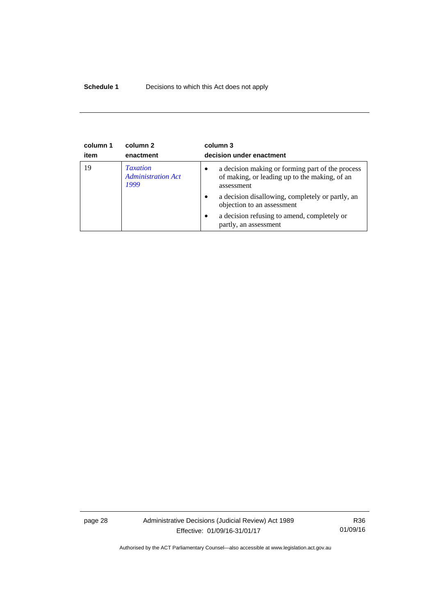# **Schedule 1** Decisions to which this Act does not apply

| column 1<br>item | column 2<br>enactment                                | column 3<br>decision under enactment                                                                                         |
|------------------|------------------------------------------------------|------------------------------------------------------------------------------------------------------------------------------|
| 19               | <b>Taxation</b><br><b>Administration Act</b><br>1999 | a decision making or forming part of the process<br>$\bullet$<br>of making, or leading up to the making, of an<br>assessment |
|                  |                                                      | a decision disallowing, completely or partly, an<br>$\bullet$<br>objection to an assessment                                  |
|                  |                                                      | a decision refusing to amend, completely or<br>$\bullet$<br>partly, an assessment                                            |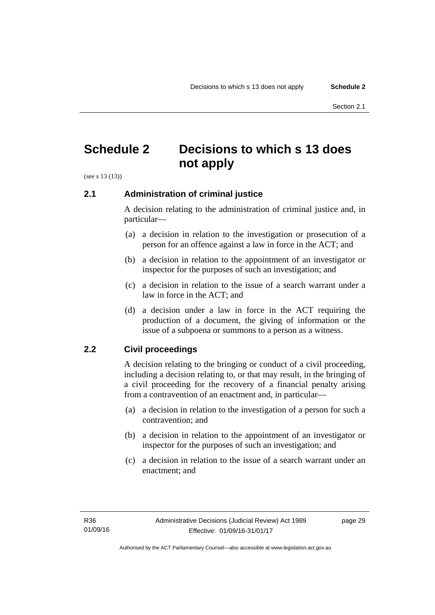# <span id="page-32-0"></span>**Schedule 2 Decisions to which s 13 does not apply**

(see s 13 (13))

# <span id="page-32-1"></span>**2.1 Administration of criminal justice**

A decision relating to the administration of criminal justice and, in particular—

- (a) a decision in relation to the investigation or prosecution of a person for an offence against a law in force in the ACT; and
- (b) a decision in relation to the appointment of an investigator or inspector for the purposes of such an investigation; and
- (c) a decision in relation to the issue of a search warrant under a law in force in the ACT; and
- (d) a decision under a law in force in the ACT requiring the production of a document, the giving of information or the issue of a subpoena or summons to a person as a witness.

# <span id="page-32-2"></span>**2.2 Civil proceedings**

A decision relating to the bringing or conduct of a civil proceeding, including a decision relating to, or that may result, in the bringing of a civil proceeding for the recovery of a financial penalty arising from a contravention of an enactment and, in particular—

- (a) a decision in relation to the investigation of a person for such a contravention; and
- (b) a decision in relation to the appointment of an investigator or inspector for the purposes of such an investigation; and
- (c) a decision in relation to the issue of a search warrant under an enactment; and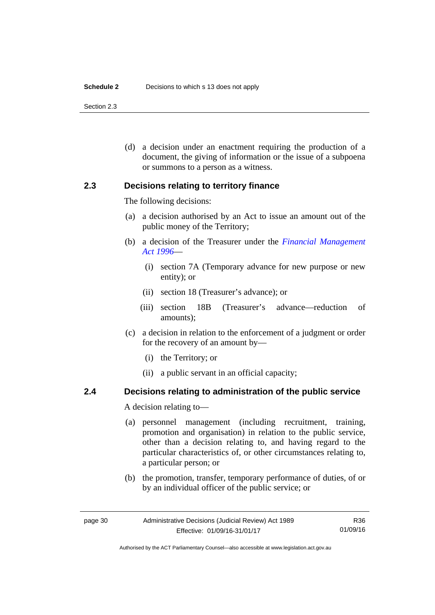#### **Schedule 2** Decisions to which s 13 does not apply

Section 2.3

 (d) a decision under an enactment requiring the production of a document, the giving of information or the issue of a subpoena or summons to a person as a witness.

# <span id="page-33-0"></span>**2.3 Decisions relating to territory finance**

The following decisions:

- (a) a decision authorised by an Act to issue an amount out of the public money of the Territory;
- (b) a decision of the Treasurer under the *[Financial Management](http://www.legislation.act.gov.au/a/1996-22)  [Act 1996](http://www.legislation.act.gov.au/a/1996-22)*—
	- (i) section 7A (Temporary advance for new purpose or new entity); or
	- (ii) section 18 (Treasurer's advance); or
	- (iii) section 18B (Treasurer's advance—reduction of amounts);
- (c) a decision in relation to the enforcement of a judgment or order for the recovery of an amount by—
	- (i) the Territory; or
	- (ii) a public servant in an official capacity;

# <span id="page-33-1"></span>**2.4 Decisions relating to administration of the public service**

A decision relating to—

- (a) personnel management (including recruitment, training, promotion and organisation) in relation to the public service, other than a decision relating to, and having regard to the particular characteristics of, or other circumstances relating to, a particular person; or
- (b) the promotion, transfer, temporary performance of duties, of or by an individual officer of the public service; or

Authorised by the ACT Parliamentary Counsel—also accessible at www.legislation.act.gov.au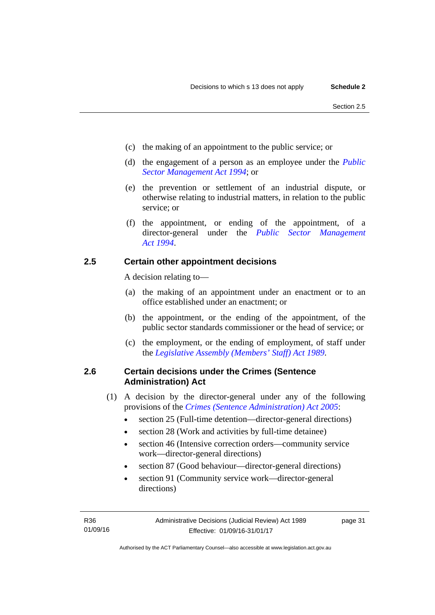- (c) the making of an appointment to the public service; or
- (d) the engagement of a person as an employee under the *[Public](http://www.legislation.act.gov.au/a/1994-37)  [Sector Management Act 1994](http://www.legislation.act.gov.au/a/1994-37)*; or
- (e) the prevention or settlement of an industrial dispute, or otherwise relating to industrial matters, in relation to the public service; or
- (f) the appointment, or ending of the appointment, of a director-general under the *[Public Sector Management](http://www.legislation.act.gov.au/a/1994-37)  [Act 1994](http://www.legislation.act.gov.au/a/1994-37)*.

# <span id="page-34-0"></span>**2.5 Certain other appointment decisions**

A decision relating to—

- (a) the making of an appointment under an enactment or to an office established under an enactment; or
- (b) the appointment, or the ending of the appointment, of the public sector standards commissioner or the head of service; or
- (c) the employment, or the ending of employment, of staff under the *[Legislative Assembly \(Members' Staff\) Act 1989](http://www.legislation.act.gov.au/a/1989-19)*.

# <span id="page-34-1"></span>**2.6 Certain decisions under the Crimes (Sentence Administration) Act**

- (1) A decision by the director-general under any of the following provisions of the *[Crimes \(Sentence Administration\) Act 2005](http://www.legislation.act.gov.au/a/2005-59)*:
	- section 25 (Full-time detention—director-general directions)
	- section 28 (Work and activities by full-time detainee)
	- section 46 (Intensive correction orders—community service work—director-general directions)
	- section 87 (Good behaviour—director-general directions)
	- section 91 (Community service work—director-general directions)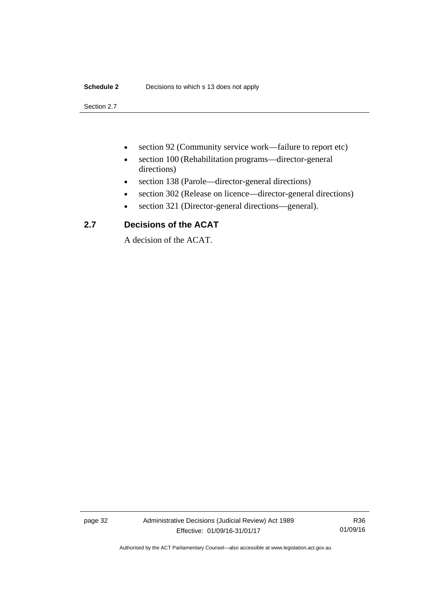# **Schedule 2** Decisions to which s 13 does not apply

Section 2.7

- section 92 (Community service work—failure to report etc)
- section 100 (Rehabilitation programs—director-general directions)
- section 138 (Parole—director-general directions)
- section 302 (Release on licence—director-general directions)
- section 321 (Director-general directions—general).

# <span id="page-35-0"></span>**2.7 Decisions of the ACAT**

A decision of the ACAT.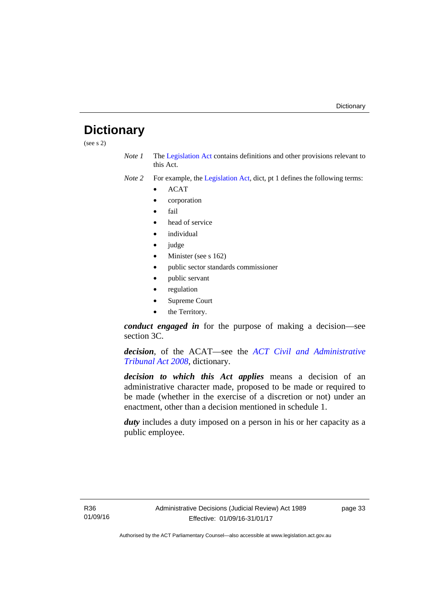# <span id="page-36-0"></span>**Dictionary**

(see s 2)

*Note 1* The [Legislation Act](http://www.legislation.act.gov.au/a/2001-14) contains definitions and other provisions relevant to this Act.

*Note 2* For example, the [Legislation Act,](http://www.legislation.act.gov.au/a/2001-14) dict, pt 1 defines the following terms:

- ACAT
- corporation
- fail
- head of service
- *individual*
- judge
- Minister (see s 162)
- public sector standards commissioner
- public servant
- regulation
- Supreme Court
- the Territory.

*conduct engaged in* for the purpose of making a decision—see section 3C.

*decision*, of the ACAT—see the *[ACT Civil and Administrative](http://www.legislation.act.gov.au/a/2008-35)  [Tribunal Act 2008](http://www.legislation.act.gov.au/a/2008-35)*, dictionary.

*decision to which this Act applies* means a decision of an administrative character made, proposed to be made or required to be made (whether in the exercise of a discretion or not) under an enactment, other than a decision mentioned in schedule 1.

*duty* includes a duty imposed on a person in his or her capacity as a public employee.

R36 01/09/16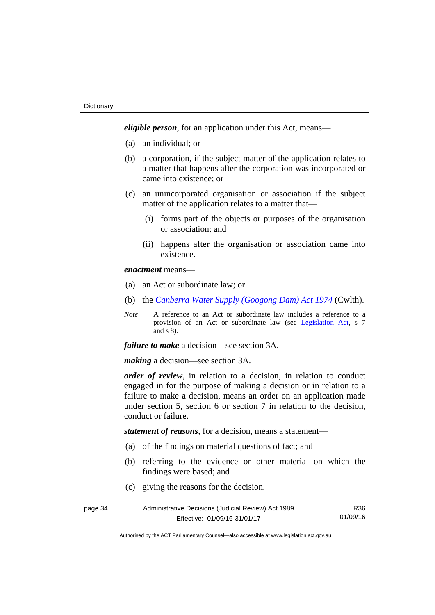*eligible person*, for an application under this Act, means—

- (a) an individual; or
- (b) a corporation, if the subject matter of the application relates to a matter that happens after the corporation was incorporated or came into existence; or
- (c) an unincorporated organisation or association if the subject matter of the application relates to a matter that—
	- (i) forms part of the objects or purposes of the organisation or association; and
	- (ii) happens after the organisation or association came into existence.

*enactment* means—

- (a) an Act or subordinate law; or
- (b) the *[Canberra Water Supply \(Googong Dam\) Act 1974](http://www.comlaw.gov.au/Details/C2008C00317)* (Cwlth).
- *Note* A reference to an Act or subordinate law includes a reference to a provision of an Act or subordinate law (see [Legislation Act](http://www.legislation.act.gov.au/a/2001-14), s 7 and s 8).

*failure to make* a decision—see section 3A.

*making* a decision—see section 3A.

*order of review*, in relation to a decision, in relation to conduct engaged in for the purpose of making a decision or in relation to a failure to make a decision, means an order on an application made under section 5, section 6 or section 7 in relation to the decision, conduct or failure.

*statement of reasons*, for a decision, means a statement—

- (a) of the findings on material questions of fact; and
- (b) referring to the evidence or other material on which the findings were based; and
- (c) giving the reasons for the decision.

| page 34 | Administrative Decisions (Judicial Review) Act 1989 | R36.     |
|---------|-----------------------------------------------------|----------|
|         | Effective: 01/09/16-31/01/17                        | 01/09/16 |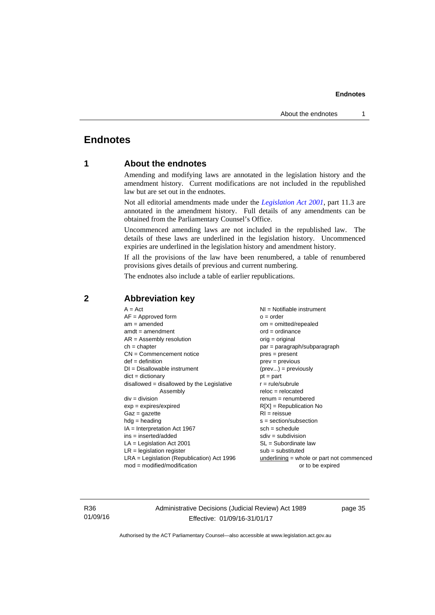# <span id="page-38-0"></span>**Endnotes**

# **1 About the endnotes**

Amending and modifying laws are annotated in the legislation history and the amendment history. Current modifications are not included in the republished law but are set out in the endnotes.

Not all editorial amendments made under the *[Legislation Act 2001](http://www.legislation.act.gov.au/a/2001-14)*, part 11.3 are annotated in the amendment history. Full details of any amendments can be obtained from the Parliamentary Counsel's Office.

Uncommenced amending laws are not included in the republished law. The details of these laws are underlined in the legislation history. Uncommenced expiries are underlined in the legislation history and amendment history.

If all the provisions of the law have been renumbered, a table of renumbered provisions gives details of previous and current numbering.

The endnotes also include a table of earlier republications.

| $A = Act$                                    | $NI = Notifiable$ instrument              |
|----------------------------------------------|-------------------------------------------|
| $AF =$ Approved form                         | $o = order$                               |
| $am = amended$                               | $om = omitted/repealed$                   |
| $amdt = amendment$                           | $ord = ordinance$                         |
| $AR = Assembly resolution$                   | $orig = original$                         |
| $ch = chapter$                               | par = paragraph/subparagraph              |
| $CN =$ Commencement notice                   | $pres = present$                          |
| $def = definition$                           | $prev = previous$                         |
| $DI = Disallowable instrument$               | $(\text{prev}) = \text{previously}$       |
| $dict = dictionary$                          | $pt = part$                               |
| $disallowed = disallowed by the Legislative$ | $r = rule/subrule$                        |
| Assembly                                     | $reloc = relocated$                       |
| $div = division$                             | $renum = renumbered$                      |
| $exp = expires/expired$                      | $R[X]$ = Republication No                 |
| $Gaz = gazette$                              | $RI = reissue$                            |
| $hdg =$ heading                              | s = section/subsection                    |
| $IA = Interpretation Act 1967$               | $sch = schedule$                          |
| ins = inserted/added                         | $sdiv = subdivision$                      |
| $LA =$ Legislation Act 2001                  | $SL = Subordinate$ law                    |
| $LR =$ legislation register                  | $sub =$ substituted                       |
| LRA = Legislation (Republication) Act 1996   | underlining = whole or part not commenced |
| $mod = modified/modification$                | or to be expired                          |
|                                              |                                           |

# <span id="page-38-2"></span>**2 Abbreviation key**

R36 01/09/16 Administrative Decisions (Judicial Review) Act 1989 Effective: 01/09/16-31/01/17

page 35

<span id="page-38-1"></span>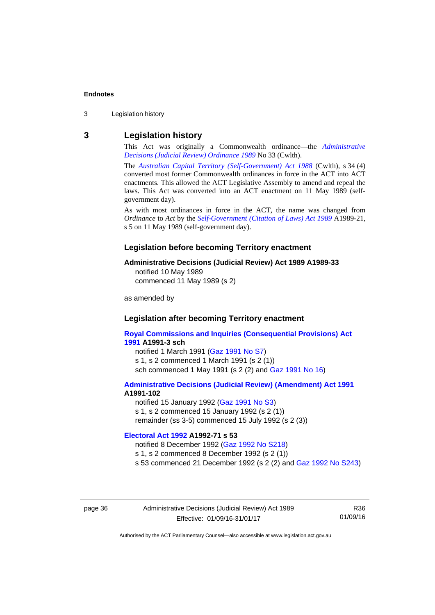3 Legislation history

# <span id="page-39-0"></span>**3 Legislation history**

This Act was originally a Commonwealth ordinance—the *[Administrative](http://www.legislation.act.gov.au/a/alt_a1989-33co)  [Decisions \(Judicial Review\) Ordinance 1989](http://www.legislation.act.gov.au/a/alt_a1989-33co)* No 33 (Cwlth).

The *[Australian Capital Territory \(Self-Government\) Act 1988](http://www.comlaw.gov.au/Current/C2004A03699)* (Cwlth), s 34 (4) converted most former Commonwealth ordinances in force in the ACT into ACT enactments. This allowed the ACT Legislative Assembly to amend and repeal the laws. This Act was converted into an ACT enactment on 11 May 1989 (selfgovernment day).

As with most ordinances in force in the ACT, the name was changed from *Ordinance* to *Act* by the *[Self-Government \(Citation of Laws\) Act 1989](http://www.legislation.act.gov.au/a/alt_ord1989-21/default.asp)* A1989-21, s 5 on 11 May 1989 (self-government day).

#### **Legislation before becoming Territory enactment**

#### **Administrative Decisions (Judicial Review) Act 1989 A1989-33**

notified 10 May 1989 commenced 11 May 1989 (s 2)

as amended by

## **Legislation after becoming Territory enactment**

**[Royal Commissions and Inquiries \(Consequential Provisions\) Act](http://www.legislation.act.gov.au/a/1991-3)  [1991](http://www.legislation.act.gov.au/a/1991-3) A1991-3 sch**  notified 1 March 1991 [\(Gaz 1991 No S7](http://www.legislation.act.gov.au/gaz/1991-S7/default.asp)) s 1, s 2 commenced 1 March 1991 (s 2 (1))

sch commenced 1 May 1991 (s 2 (2) and [Gaz 1991 No 16](http://www.legislation.act.gov.au/gaz/1991-16/default.asp))

#### **[Administrative Decisions \(Judicial Review\) \(Amendment\) Act 1991](http://www.legislation.act.gov.au/a/1991-102) A1991-102**

notified 15 January 1992 ([Gaz 1991 No S3\)](http://www.legislation.act.gov.au/gaz/1991-S3/default.asp) s 1, s 2 commenced 15 January 1992 (s 2 (1)) remainder (ss 3-5) commenced 15 July 1992 (s 2 (3))

# **[Electoral Act 1992](http://www.legislation.act.gov.au/a/1992-71) A1992-71 s 53**

notified 8 December 1992 ([Gaz 1992 No S218\)](http://www.legislation.act.gov.au/gaz/1992-S218/default.asp) s 1, s 2 commenced 8 December 1992 (s 2 (1)) s 53 commenced 21 December 1992 (s 2 (2) and [Gaz 1992 No S243\)](http://www.legislation.act.gov.au/gaz/1992-S243/default.asp)

page 36 Administrative Decisions (Judicial Review) Act 1989 Effective: 01/09/16-31/01/17

R36 01/09/16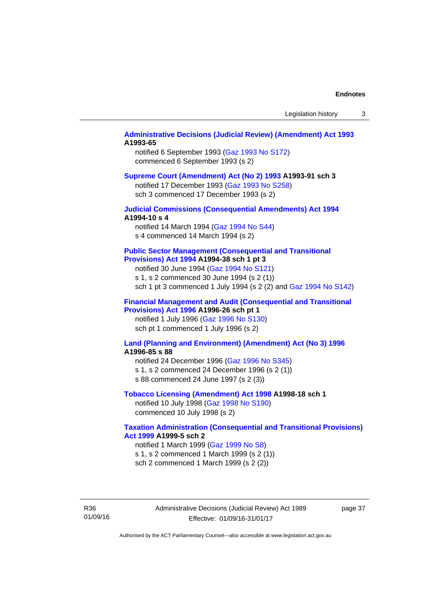### **[Administrative Decisions \(Judicial Review\) \(Amendment\) Act 1993](http://www.legislation.act.gov.au/a/1993-65) A1993-65**

notified 6 September 1993 [\(Gaz 1993 No S172\)](http://www.legislation.act.gov.au/gaz/1993-S172/default.asp) commenced 6 September 1993 (s 2)

#### **[Supreme Court \(Amendment\) Act \(No 2\) 1993](http://www.legislation.act.gov.au/a/1993-91) A1993-91 sch 3**

notified 17 December 1993 [\(Gaz 1993 No S258](http://www.legislation.act.gov.au/gaz/1993-S258/default.asp)) sch 3 commenced 17 December 1993 (s 2)

## **[Judicial Commissions \(Consequential Amendments\) Act 1994](http://www.legislation.act.gov.au/a/1994-10) A1994-10 s 4**

notified 14 March 1994 ([Gaz 1994 No S44](http://www.legislation.act.gov.au/gaz/1994-S44/default.asp)) s 4 commenced 14 March 1994 (s 2)

#### **[Public Sector Management \(Consequential and Transitional](http://www.legislation.act.gov.au/a/1994-38)  [Provisions\) Act 1994](http://www.legislation.act.gov.au/a/1994-38) A1994-38 sch 1 pt 3**

notified 30 June 1994 ([Gaz 1994 No S121\)](http://www.legislation.act.gov.au/gaz/1994-S121/default.asp)

s 1, s 2 commenced 30 June 1994 (s 2 (1))

sch 1 pt 3 commenced 1 July 1994 (s 2 (2) and [Gaz 1994 No S142](http://www.legislation.act.gov.au/gaz/1994-S142/default.asp))

## **[Financial Management and Audit \(Consequential and Transitional](http://www.legislation.act.gov.au/a/1996-26)  [Provisions\) Act 1996](http://www.legislation.act.gov.au/a/1996-26) A1996-26 sch pt 1**

notified 1 July 1996 [\(Gaz 1996 No S130](http://www.legislation.act.gov.au/gaz/1996-S130/default.asp)) sch pt 1 commenced 1 July 1996 (s 2)

#### **[Land \(Planning and Environment\) \(Amendment\) Act \(No 3\) 1996](http://www.legislation.act.gov.au/a/1996-85) A1996-85 s 88**

notified 24 December 1996 [\(Gaz 1996 No S345](http://www.legislation.act.gov.au/gaz/1996-S345/default.asp)) s 1, s 2 commenced 24 December 1996 (s 2 (1)) s 88 commenced 24 June 1997 (s 2 (3))

#### **[Tobacco Licensing \(Amendment\) Act 1998](http://www.legislation.act.gov.au/a/1998-18) A1998-18 sch 1**

notified 10 July 1998 ([Gaz 1998 No S190\)](http://www.legislation.act.gov.au/gaz/1998-S190/default.asp) commenced 10 July 1998 (s 2)

## **[Taxation Administration \(Consequential and Transitional Provisions\)](http://www.legislation.act.gov.au/a/1999-5)  [Act 1999](http://www.legislation.act.gov.au/a/1999-5) A1999-5 sch 2**

notified 1 March 1999 [\(Gaz 1999 No S8](http://www.legislation.act.gov.au/gaz/1999-S8/default.asp)) s 1, s 2 commenced 1 March 1999 (s 2 (1)) sch 2 commenced 1 March 1999 (s 2 (2))

R36 01/09/16 Administrative Decisions (Judicial Review) Act 1989 Effective: 01/09/16-31/01/17

page 37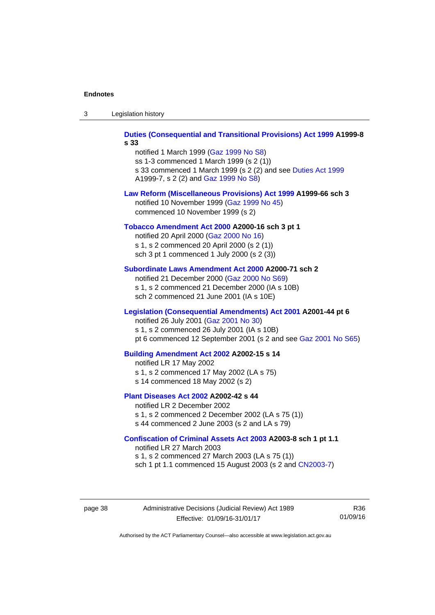| -3 | Legislation history |  |
|----|---------------------|--|
|----|---------------------|--|

**[Duties \(Consequential and Transitional Provisions\) Act 1999](http://www.legislation.act.gov.au/a/1999-8) A1999-8 s 33** 

notified 1 March 1999 [\(Gaz 1999 No S8](http://www.legislation.act.gov.au/gaz/1999-S8/default.asp)) ss 1-3 commenced 1 March 1999 (s 2 (1)) s 33 commenced 1 March 1999 (s 2 (2) and see [Duties Act 1999](http://www.legislation.act.gov.au/a/1999-7) A1999-7, s 2 (2) and [Gaz 1999 No S8\)](http://www.legislation.act.gov.au/gaz/1999-S8/default.asp)

#### **[Law Reform \(Miscellaneous Provisions\) Act 1999](http://www.legislation.act.gov.au/a/1999-66) A1999-66 sch 3**  notified 10 November 1999 [\(Gaz 1999 No 45](http://www.legislation.act.gov.au/gaz/1999-45/default.asp))

commenced 10 November 1999 (s 2)

#### **[Tobacco Amendment Act 2000](http://www.legislation.act.gov.au/a/2000-16) A2000-16 sch 3 pt 1**

notified 20 April 2000 [\(Gaz 2000 No 16\)](http://www.legislation.act.gov.au/gaz/2000-16/default.asp) s 1, s 2 commenced 20 April 2000 (s 2 (1)) sch 3 pt 1 commenced 1 July 2000 (s 2 (3))

#### **[Subordinate Laws Amendment Act 2000](http://www.legislation.act.gov.au/a/2000-71) A2000-71 sch 2**

notified 21 December 2000 [\(Gaz 2000 No S69\)](http://www.legislation.act.gov.au/gaz/2000-S69/default.asp) s 1, s 2 commenced 21 December 2000 (IA s 10B) sch 2 commenced 21 June 2001 (IA s 10E)

#### **[Legislation \(Consequential Amendments\) Act 2001](http://www.legislation.act.gov.au/a/2001-44) A2001-44 pt 6**

notified 26 July 2001 ([Gaz 2001 No 30\)](http://www.legislation.act.gov.au/gaz/2001-30/default.asp)

s 1, s 2 commenced 26 July 2001 (IA s 10B)

pt 6 commenced 12 September 2001 (s 2 and see [Gaz 2001 No S65\)](http://www.legislation.act.gov.au/gaz/2001-S65/default.asp)

#### **[Building Amendment Act 2002](http://www.legislation.act.gov.au/a/2002-15) A2002-15 s 14**

notified LR 17 May 2002

- s 1, s 2 commenced 17 May 2002 (LA s 75)
- s 14 commenced 18 May 2002 (s 2)

#### **[Plant Diseases Act 2002](http://www.legislation.act.gov.au/a/2002-42) A2002-42 s 44**

notified LR 2 December 2002 s 1, s 2 commenced 2 December 2002 (LA s 75 (1)) s 44 commenced 2 June 2003 (s 2 and LA s 79)

#### **[Confiscation of Criminal Assets Act 2003](http://www.legislation.act.gov.au/a/2003-8) A2003-8 sch 1 pt 1.1**

notified LR 27 March 2003 s 1, s 2 commenced 27 March 2003 (LA s 75 (1)) sch 1 pt 1.1 commenced 15 August 2003 (s 2 and [CN2003-7](http://www.legislation.act.gov.au/cn/2003-7/default.asp))

page 38 Administrative Decisions (Judicial Review) Act 1989 Effective: 01/09/16-31/01/17

R36 01/09/16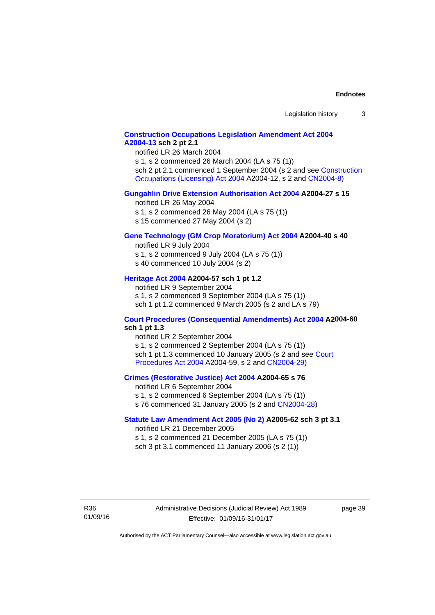# **[Construction Occupations Legislation Amendment Act 2004](http://www.legislation.act.gov.au/a/2004-13)  [A2004-13](http://www.legislation.act.gov.au/a/2004-13) sch 2 pt 2.1**

notified LR 26 March 2004

s 1, s 2 commenced 26 March 2004 (LA s 75 (1)) sch 2 pt 2.1 commenced 1 September 2004 (s 2 and see [Construction](http://www.legislation.act.gov.au/a/2004-12)  [Occupations \(Licensing\) Act 2004](http://www.legislation.act.gov.au/a/2004-12) A2004-12, s 2 and [CN2004-8\)](http://www.legislation.act.gov.au/cn/2004-8/default.asp)

#### **[Gungahlin Drive Extension Authorisation Act 2004](http://www.legislation.act.gov.au/a/2004-27) A2004-27 s 15**

notified LR 26 May 2004

- s 1, s 2 commenced 26 May 2004 (LA s 75 (1))
- s 15 commenced 27 May 2004 (s 2)

#### **[Gene Technology \(GM Crop Moratorium\) Act 2004](http://www.legislation.act.gov.au/a/2004-40) A2004-40 s 40**

notified LR 9 July 2004

- s 1, s 2 commenced 9 July 2004 (LA s 75 (1)) s 40 commenced 10 July 2004 (s 2)
- 

# **[Heritage Act 2004](http://www.legislation.act.gov.au/a/2004-57) A2004-57 sch 1 pt 1.2**

notified LR 9 September 2004 s 1, s 2 commenced 9 September 2004 (LA s 75 (1)) sch 1 pt 1.2 commenced 9 March 2005 (s 2 and LA s 79)

#### **[Court Procedures \(Consequential Amendments\) Act 2004](http://www.legislation.act.gov.au/a/2004-60) A2004-60 sch 1 pt 1.3**

notified LR 2 September 2004 s 1, s 2 commenced 2 September 2004 (LA s 75 (1)) sch 1 pt 1.3 commenced 10 January 2005 (s 2 and see [Court](http://www.legislation.act.gov.au/a/2004-59)  [Procedures Act 2004](http://www.legislation.act.gov.au/a/2004-59) A2004-59, s 2 and [CN2004-29\)](http://www.legislation.act.gov.au/cn/2004-29/default.asp)

#### **[Crimes \(Restorative Justice\) Act 2004](http://www.legislation.act.gov.au/a/2004-65) A2004-65 s 76**

notified LR 6 September 2004 s 1, s 2 commenced 6 September 2004 (LA s 75 (1)) s 76 commenced 31 January 2005 (s 2 and [CN2004-28](http://www.legislation.act.gov.au/cn/2004-28/default.asp))

#### **[Statute Law Amendment Act 2005 \(No 2\)](http://www.legislation.act.gov.au/a/2005-62) A2005-62 sch 3 pt 3.1**

notified LR 21 December 2005 s 1, s 2 commenced 21 December 2005 (LA s 75 (1)) sch 3 pt 3.1 commenced 11 January 2006 (s 2 (1))

R36 01/09/16 Administrative Decisions (Judicial Review) Act 1989 Effective: 01/09/16-31/01/17

page 39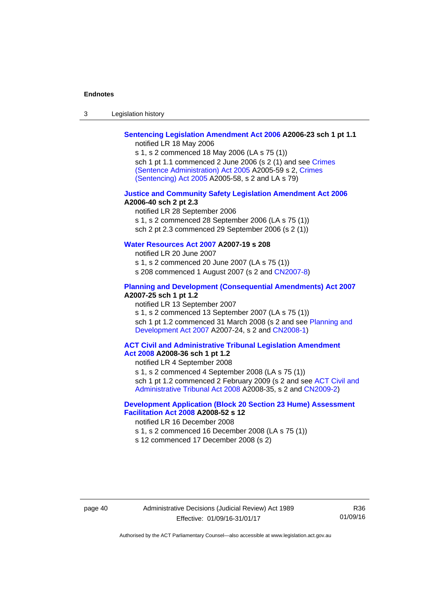| Legislation history<br>-3 |
|---------------------------|
|---------------------------|

# **[Sentencing Legislation Amendment Act 2006](http://www.legislation.act.gov.au/a/2006-23) A2006-23 sch 1 pt 1.1**

notified LR 18 May 2006

s 1, s 2 commenced 18 May 2006 (LA s 75 (1)) sch 1 pt 1.1 commenced 2 June 2006 (s 2 (1) and see [Crimes](http://www.legislation.act.gov.au/a/2005-59)  [\(Sentence Administration\) Act 2005](http://www.legislation.act.gov.au/a/2005-59) A2005-59 s 2, [Crimes](http://www.legislation.act.gov.au/a/2005-58)  [\(Sentencing\) Act 2005](http://www.legislation.act.gov.au/a/2005-58) A2005-58, s 2 and LA s 79)

#### **[Justice and Community Safety Legislation Amendment Act 2006](http://www.legislation.act.gov.au/a/2006-40) A2006-40 sch 2 pt 2.3**

notified LR 28 September 2006 s 1, s 2 commenced 28 September 2006 (LA s 75 (1)) sch 2 pt 2.3 commenced 29 September 2006 (s 2 (1))

# **[Water Resources Act 2007](http://www.legislation.act.gov.au/a/2007-19) A2007-19 s 208**

notified LR 20 June 2007 s 1, s 2 commenced 20 June 2007 (LA s 75 (1)) s 208 commenced 1 August 2007 (s 2 and [CN2007-8](http://www.legislation.act.gov.au/cn/2007-8/default.asp))

### **[Planning and Development \(Consequential Amendments\) Act 2007](http://www.legislation.act.gov.au/a/2007-25) A2007-25 sch 1 pt 1.2**

notified LR 13 September 2007

s 1, s 2 commenced 13 September 2007 (LA s 75 (1)) sch 1 pt 1.2 commenced 31 March 2008 (s 2 and see Planning and [Development Act 2007](http://www.legislation.act.gov.au/a/2007-24) A2007-24, s 2 and [CN2008-1](http://www.legislation.act.gov.au/cn/2008-1/default.asp))

#### **[ACT Civil and Administrative Tribunal Legislation Amendment](http://www.legislation.act.gov.au/a/2008-36)  [Act 2008](http://www.legislation.act.gov.au/a/2008-36) A2008-36 sch 1 pt 1.2**

notified LR 4 September 2008

s 1, s 2 commenced 4 September 2008 (LA s 75 (1))

sch 1 pt 1.2 commenced 2 February 2009 (s 2 and see [ACT Civil and](http://www.legislation.act.gov.au/a/2008-35)  [Administrative Tribunal Act 2008](http://www.legislation.act.gov.au/a/2008-35) A2008-35, s 2 and [CN2009-2\)](http://www.legislation.act.gov.au/cn/2009-2/default.asp)

# **[Development Application \(Block 20 Section 23 Hume\) Assessment](http://www.legislation.act.gov.au/a/2008-52)  [Facilitation Act 2008](http://www.legislation.act.gov.au/a/2008-52) A2008-52 s 12**

notified LR 16 December 2008

- s 1, s 2 commenced 16 December 2008 (LA s 75 (1))
- s 12 commenced 17 December 2008 (s 2)

page 40 Administrative Decisions (Judicial Review) Act 1989 Effective: 01/09/16-31/01/17

R36 01/09/16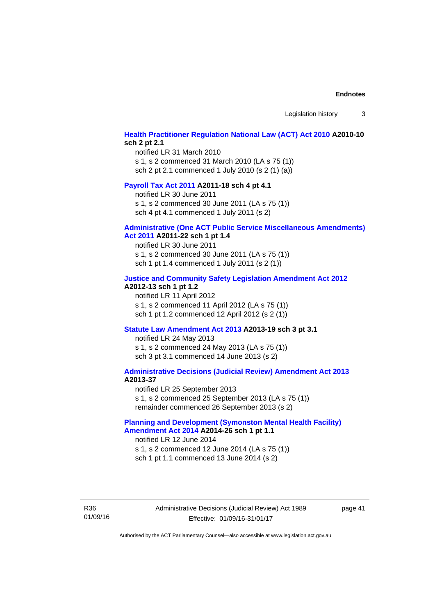Legislation history 3

# **[Health Practitioner Regulation National Law \(ACT\) Act 2010](http://www.legislation.act.gov.au/a/2010-10) A2010-10 sch 2 pt 2.1**

notified LR 31 March 2010 s 1, s 2 commenced 31 March 2010 (LA s 75 (1)) sch 2 pt 2.1 commenced 1 July 2010 (s 2 (1) (a))

#### **[Payroll Tax Act 2011](http://www.legislation.act.gov.au/a/2011-18) A2011-18 sch 4 pt 4.1**

notified LR 30 June 2011 s 1, s 2 commenced 30 June 2011 (LA s 75 (1)) sch 4 pt 4.1 commenced 1 July 2011 (s 2)

#### **[Administrative \(One ACT Public Service Miscellaneous Amendments\)](http://www.legislation.act.gov.au/a/2011-22)**

#### **[Act 2011](http://www.legislation.act.gov.au/a/2011-22) A2011-22 sch 1 pt 1.4**

notified LR 30 June 2011 s 1, s 2 commenced 30 June 2011 (LA s 75 (1)) sch 1 pt 1.4 commenced 1 July 2011 (s 2 (1))

#### **[Justice and Community Safety Legislation Amendment Act 2012](http://www.legislation.act.gov.au/a/2012-13)**

# **A2012-13 sch 1 pt 1.2**

notified LR 11 April 2012 s 1, s 2 commenced 11 April 2012 (LA s 75 (1)) sch 1 pt 1.2 commenced 12 April 2012 (s 2 (1))

#### **[Statute Law Amendment Act 2013](http://www.legislation.act.gov.au/a/2013-19) A2013-19 sch 3 pt 3.1**

notified LR 24 May 2013 s 1, s 2 commenced 24 May 2013 (LA s 75 (1)) sch 3 pt 3.1 commenced 14 June 2013 (s 2)

#### **[Administrative Decisions \(Judicial Review\) Amendment Act 2013](http://www.legislation.act.gov.au/a/2013-37) A2013-37**

notified LR 25 September 2013 s 1, s 2 commenced 25 September 2013 (LA s 75 (1)) remainder commenced 26 September 2013 (s 2)

## **[Planning and Development \(Symonston Mental Health Facility\)](http://www.legislation.act.gov.au/a/2014-26)  [Amendment Act 2014](http://www.legislation.act.gov.au/a/2014-26) A2014-26 sch 1 pt 1.1**

notified LR 12 June 2014 s 1, s 2 commenced 12 June 2014 (LA s 75 (1)) sch 1 pt 1.1 commenced 13 June 2014 (s 2)

R36 01/09/16 Administrative Decisions (Judicial Review) Act 1989 Effective: 01/09/16-31/01/17

page 41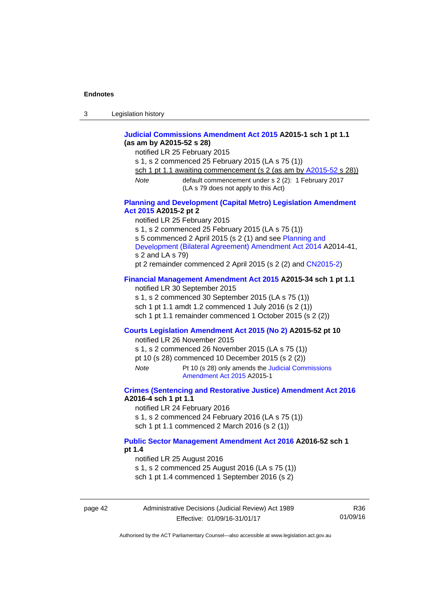| 3 | Legislation history |  |
|---|---------------------|--|
|---|---------------------|--|

## **[Judicial Commissions Amendment Act 2015](http://www.legislation.act.gov.au/a/2015-1) A2015-1 sch 1 pt 1.1 (as am by A2015-52 s 28)**

notified LR 25 February 2015

s 1, s 2 commenced 25 February 2015 (LA s 75 (1))

sch 1 pt 1.1 awaiting commencement (s 2 (as am by [A2015-52](http://www.legislation.act.gov.au/a/2015-52) s 28))

*Note* default commencement under s 2 (2): 1 February 2017 (LA s 79 does not apply to this Act)

## **[Planning and Development \(Capital Metro\) Legislation Amendment](http://www.legislation.act.gov.au/a/2015-2)  [Act 2015](http://www.legislation.act.gov.au/a/2015-2) A2015-2 pt 2**

notified LR 25 February 2015

s 1, s 2 commenced 25 February 2015 (LA s 75 (1))

s 5 commenced 2 April 2015 (s 2 (1) and see [Planning and](http://www.legislation.act.gov.au/a/2014-41/default.asp) 

[Development \(Bilateral Agreement\) Amendment Act 2014](http://www.legislation.act.gov.au/a/2014-41/default.asp) A2014-41, s 2 and LA s 79)

pt 2 remainder commenced 2 April 2015 (s 2 (2) and [CN2015-2](http://www.legislation.act.gov.au/cn/2015-2/default.asp))

# **[Financial Management Amendment Act 2015](http://www.legislation.act.gov.au/a/2015-34/default.asp) A2015-34 sch 1 pt 1.1**

notified LR 30 September 2015 s 1, s 2 commenced 30 September 2015 (LA s 75 (1))

sch 1 pt 1.1 amdt 1.2 commenced 1 July 2016 (s 2 (1)) sch 1 pt 1.1 remainder commenced 1 October 2015 (s 2 (2))

# **[Courts Legislation Amendment Act 2015 \(No 2\)](http://www.legislation.act.gov.au/a/2015-52/default.asp) A2015-52 pt 10**

notified LR 26 November 2015

s 1, s 2 commenced 26 November 2015 (LA s 75 (1))

pt 10 (s 28) commenced 10 December 2015 (s 2 (2))

*Note* Pt 10 (s 28) only amends the [Judicial Commissions](http://www.legislation.act.gov.au/a/2015-1)  [Amendment Act 2015](http://www.legislation.act.gov.au/a/2015-1) A2015-1

## **[Crimes \(Sentencing and Restorative Justice\) Amendment Act 2016](http://www.legislation.act.gov.au/a/2016-4/default.asp) A2016-4 sch 1 pt 1.1**

notified LR 24 February 2016

s 1, s 2 commenced 24 February 2016 (LA s 75 (1))

sch 1 pt 1.1 commenced 2 March 2016 (s 2 (1))

## **[Public Sector Management Amendment Act 2016](http://www.legislation.act.gov.au/a/2016-52/default.asp) A2016-52 sch 1**

**pt 1.4** 

notified LR 25 August 2016

s 1, s 2 commenced 25 August 2016 (LA s 75 (1))

sch 1 pt 1.4 commenced 1 September 2016 (s 2)

page 42 Administrative Decisions (Judicial Review) Act 1989 Effective: 01/09/16-31/01/17

R36 01/09/16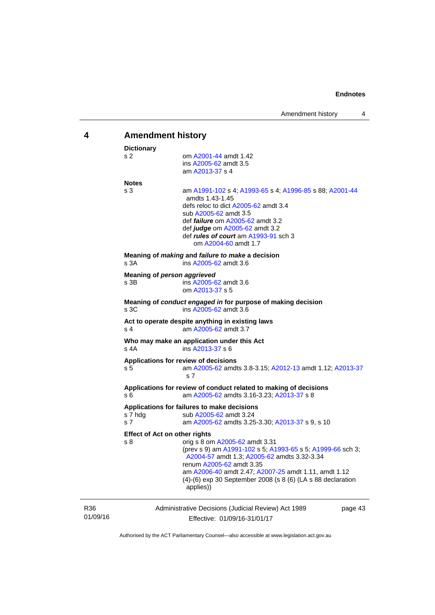<span id="page-46-0"></span>

| 4               | <b>Amendment history</b>                                                                                                                                                                                                                                                                                                                                   |  |  |
|-----------------|------------------------------------------------------------------------------------------------------------------------------------------------------------------------------------------------------------------------------------------------------------------------------------------------------------------------------------------------------------|--|--|
|                 | <b>Dictionary</b><br>om A2001-44 amdt 1.42<br>s 2<br>ins A2005-62 amdt 3.5<br>am A2013-37 s 4                                                                                                                                                                                                                                                              |  |  |
|                 | <b>Notes</b><br>s 3<br>am A1991-102 s 4; A1993-65 s 4; A1996-85 s 88; A2001-44<br>amdts 1.43-1.45<br>defs reloc to dict A2005-62 amdt 3.4<br>sub A2005-62 amdt 3.5<br>def <i>failure</i> om A2005-62 amdt 3.2<br>def judge om A2005-62 amdt 3.2<br>def rules of court am A1993-91 sch 3<br>om A2004-60 amdt 1.7                                            |  |  |
|                 | Meaning of <i>making</i> and <i>failure to make</i> a decision<br>s 3A<br>ins A2005-62 amdt 3.6                                                                                                                                                                                                                                                            |  |  |
|                 | Meaning of person aggrieved<br>s 3B<br>ins A2005-62 amdt 3.6<br>om A2013-37 s 5                                                                                                                                                                                                                                                                            |  |  |
|                 | Meaning of conduct engaged in for purpose of making decision<br>s3C<br>ins A2005-62 amdt 3.6                                                                                                                                                                                                                                                               |  |  |
|                 | Act to operate despite anything in existing laws<br>s 4<br>am A2005-62 amdt 3.7                                                                                                                                                                                                                                                                            |  |  |
|                 | Who may make an application under this Act<br>s 4A<br>ins A2013-37 s 6                                                                                                                                                                                                                                                                                     |  |  |
|                 | Applications for review of decisions<br>am A2005-62 amdts 3.8-3.15; A2012-13 amdt 1.12; A2013-37<br>s 5<br>s <sub>7</sub>                                                                                                                                                                                                                                  |  |  |
|                 | Applications for review of conduct related to making of decisions<br>s 6<br>am A2005-62 amdts 3.16-3.23; A2013-37 s 8                                                                                                                                                                                                                                      |  |  |
|                 | Applications for failures to make decisions<br>s 7 hdg<br>sub A2005-62 amdt 3.24<br>s 7<br>am A2005-62 amdts 3.25-3.30; A2013-37 s 9, s 10                                                                                                                                                                                                                 |  |  |
|                 | <b>Effect of Act on other rights</b><br>s 8<br>orig s 8 om A2005-62 amdt 3.31<br>(prev s 9) am A1991-102 s 5; A1993-65 s 5; A1999-66 sch 3;<br>A2004-57 amdt 1.3; A2005-62 amdts 3.32-3.34<br>renum A2005-62 amdt 3.35<br>am A2006-40 amdt 2.47; A2007-25 amdt 1.11, amdt 1.12<br>(4)-(6) exp 30 September 2008 (s 8 (6) (LA s 88 declaration<br>applies)) |  |  |
| R36<br>01/09/16 | Administrative Decisions (Judicial Review) Act 1989<br>page 43<br>Effective: 01/09/16-31/01/17                                                                                                                                                                                                                                                             |  |  |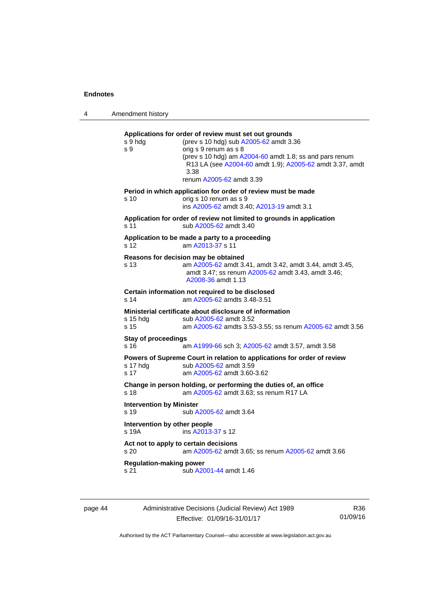4 Amendment history

**Applications for order of review must set out grounds**  s 9 hdg (prev s 10 hdg) sub [A2005-62](http://www.legislation.act.gov.au/a/2005-62) amdt 3.36 s 9 orig s 9 renum as s 8 (prev s 10 hdg) am [A2004-60](http://www.legislation.act.gov.au/a/2004-60) amdt 1.8; ss and pars renum R13 LA (see [A2004-60](http://www.legislation.act.gov.au/a/2004-60) amdt 1.9); [A2005-62](http://www.legislation.act.gov.au/a/2005-62) amdt 3.37, amdt 3.38 renum [A2005-62](http://www.legislation.act.gov.au/a/2005-62) amdt 3.39 **Period in which application for order of review must be made**  s 10 orig s 10 renum as s 9 ins [A2005-62](http://www.legislation.act.gov.au/a/2005-62) amdt 3.40; [A2013-19](http://www.legislation.act.gov.au/a/2013-19) amdt 3.1 **Application for order of review not limited to grounds in application**  s 11 sub [A2005-62](http://www.legislation.act.gov.au/a/2005-62) amdt 3.40 **Application to be made a party to a proceeding**  s 12 am [A2013-37](http://www.legislation.act.gov.au/a/2013-37) s 11 **Reasons for decision may be obtained**  s 13 am [A2005-62](http://www.legislation.act.gov.au/a/2005-62) amdt 3.41, amdt 3.42, amdt 3.44, amdt 3.45, amdt 3.47; ss renum [A2005-62](http://www.legislation.act.gov.au/a/2005-62) amdt 3.43, amdt 3.46; [A2008-36](http://www.legislation.act.gov.au/a/2008-36) amdt 1.13 **Certain information not required to be disclosed**<br>s 14 am A2005-62 amdts 3.48-3.51 am [A2005-62](http://www.legislation.act.gov.au/a/2005-62) amdts 3.48-3.51 **Ministerial certificate about disclosure of information**  s 15 hdg sub [A2005-62](http://www.legislation.act.gov.au/a/2005-62) amdt 3.52 s 15 am [A2005-62](http://www.legislation.act.gov.au/a/2005-62) amdts 3.53-3.55; ss renum [A2005-62](http://www.legislation.act.gov.au/a/2005-62) amdt 3.56 **Stay of proceedings**  s 16 am [A1999-66](http://www.legislation.act.gov.au/a/1999-66) sch 3; [A2005-62](http://www.legislation.act.gov.au/a/2005-62) amdt 3.57, amdt 3.58

**Powers of Supreme Court in relation to applications for order of review**  s 17 hdg sub [A2005-62](http://www.legislation.act.gov.au/a/2005-62) amdt 3.59

s 17 am [A2005-62](http://www.legislation.act.gov.au/a/2005-62) amdt 3.60-3.62

**Change in person holding, or performing the duties of, an office**  s 18 **am [A2005-62](http://www.legislation.act.gov.au/a/2005-62)** amdt 3.63; ss renum R17 LA

**Intervention by Minister** 

s 19 sub [A2005-62](http://www.legislation.act.gov.au/a/2005-62) amdt 3.64

**Intervention by other people**  s 19A ins [A2013-37](http://www.legislation.act.gov.au/a/2013-37) s 12

**Act not to apply to certain decisions**  s 20 am [A2005-62](http://www.legislation.act.gov.au/a/2005-62) amdt 3.65; ss renum [A2005-62](http://www.legislation.act.gov.au/a/2005-62) amdt 3.66

**Regulation-making power** 

s 21 sub [A2001-44](http://www.legislation.act.gov.au/a/2001-44) amdt 1.46

page 44 Administrative Decisions (Judicial Review) Act 1989 Effective: 01/09/16-31/01/17

R36 01/09/16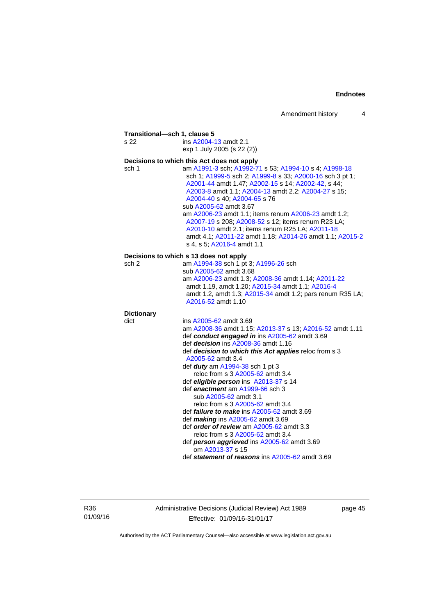| s 22              | Transitional-sch 1, clause 5<br>ins A2004-13 amdt 2.1                                                                                                                                                                                                                                                                                                                                                                                                                                                                                               |
|-------------------|-----------------------------------------------------------------------------------------------------------------------------------------------------------------------------------------------------------------------------------------------------------------------------------------------------------------------------------------------------------------------------------------------------------------------------------------------------------------------------------------------------------------------------------------------------|
|                   | exp 1 July 2005 (s 22 (2))                                                                                                                                                                                                                                                                                                                                                                                                                                                                                                                          |
|                   | Decisions to which this Act does not apply                                                                                                                                                                                                                                                                                                                                                                                                                                                                                                          |
| sch 1             | am A1991-3 sch; A1992-71 s 53; A1994-10 s 4; A1998-18<br>sch 1; A1999-5 sch 2; A1999-8 s 33; A2000-16 sch 3 pt 1;<br>A2001-44 amdt 1.47; A2002-15 s 14; A2002-42, s 44;<br>A2003-8 amdt 1.1; A2004-13 amdt 2.2; A2004-27 s 15;<br>A2004-40 s 40; A2004-65 s 76<br>sub A2005-62 amdt 3.67<br>am A2006-23 amdt 1.1; items renum A2006-23 amdt 1.2;<br>A2007-19 s 208; A2008-52 s 12; items renum R23 LA;<br>A2010-10 amdt 2.1; items renum R25 LA; A2011-18<br>amdt 4.1; A2011-22 amdt 1.18; A2014-26 amdt 1.1; A2015-2<br>s 4, s 5; A2016-4 amdt 1.1 |
|                   | Decisions to which s 13 does not apply                                                                                                                                                                                                                                                                                                                                                                                                                                                                                                              |
| sch <sub>2</sub>  | am A1994-38 sch 1 pt 3; A1996-26 sch                                                                                                                                                                                                                                                                                                                                                                                                                                                                                                                |
|                   | sub A2005-62 amdt 3.68<br>am A2006-23 amdt 1.3; A2008-36 amdt 1.14; A2011-22<br>amdt 1.19, amdt 1.20; A2015-34 amdt 1.1; A2016-4<br>amdt 1.2, amdt 1.3; A2015-34 amdt 1.2; pars renum R35 LA;<br>A2016-52 amdt 1.10                                                                                                                                                                                                                                                                                                                                 |
| <b>Dictionary</b> |                                                                                                                                                                                                                                                                                                                                                                                                                                                                                                                                                     |
| dict              | ins A2005-62 amdt 3.69                                                                                                                                                                                                                                                                                                                                                                                                                                                                                                                              |
|                   | am A2008-36 amdt 1.15; A2013-37 s 13; A2016-52 amdt 1.11<br>def conduct engaged in ins A2005-62 amdt 3.69                                                                                                                                                                                                                                                                                                                                                                                                                                           |
|                   | def decision ins A2008-36 amdt 1.16                                                                                                                                                                                                                                                                                                                                                                                                                                                                                                                 |
|                   | def decision to which this Act applies reloc from s 3<br>A2005-62 amdt 3.4                                                                                                                                                                                                                                                                                                                                                                                                                                                                          |
|                   | def duty am A1994-38 sch 1 pt 3                                                                                                                                                                                                                                                                                                                                                                                                                                                                                                                     |
|                   | reloc from s 3 A2005-62 amdt 3.4                                                                                                                                                                                                                                                                                                                                                                                                                                                                                                                    |
|                   | def eligible person ins A2013-37 s 14                                                                                                                                                                                                                                                                                                                                                                                                                                                                                                               |
|                   | def enactment am A1999-66 sch 3                                                                                                                                                                                                                                                                                                                                                                                                                                                                                                                     |
|                   | sub A2005-62 amdt 3.1                                                                                                                                                                                                                                                                                                                                                                                                                                                                                                                               |
|                   | reloc from s 3 A2005-62 amdt 3.4                                                                                                                                                                                                                                                                                                                                                                                                                                                                                                                    |
|                   | def <i>failure to make</i> ins A2005-62 amdt 3.69<br>def making ins A2005-62 amdt 3.69                                                                                                                                                                                                                                                                                                                                                                                                                                                              |
|                   | def order of review am A2005-62 amdt 3.3                                                                                                                                                                                                                                                                                                                                                                                                                                                                                                            |
|                   | reloc from s 3 A2005-62 amdt 3.4                                                                                                                                                                                                                                                                                                                                                                                                                                                                                                                    |
|                   | def person aggrieved ins A2005-62 amdt 3.69<br>om A2013-37 s 15                                                                                                                                                                                                                                                                                                                                                                                                                                                                                     |
|                   | def statement of reasons ins A2005-62 amdt 3.69                                                                                                                                                                                                                                                                                                                                                                                                                                                                                                     |

R36 01/09/16 Administrative Decisions (Judicial Review) Act 1989 Effective: 01/09/16-31/01/17

page 45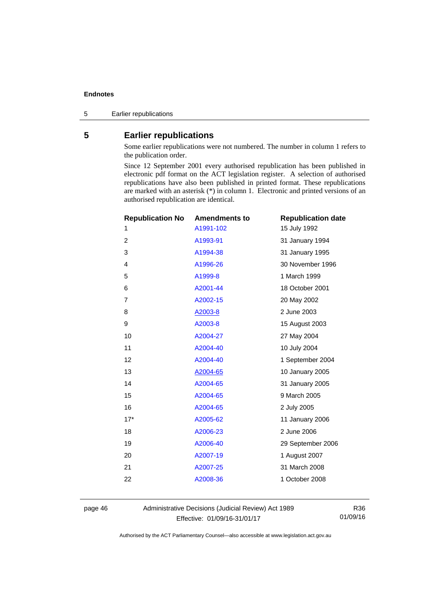5 Earlier republications

# <span id="page-49-0"></span>**5 Earlier republications**

Some earlier republications were not numbered. The number in column 1 refers to the publication order.

Since 12 September 2001 every authorised republication has been published in electronic pdf format on the ACT legislation register. A selection of authorised republications have also been published in printed format. These republications are marked with an asterisk (\*) in column 1. Electronic and printed versions of an authorised republication are identical.

| <b>Republication No</b> | <b>Amendments to</b> | <b>Republication date</b> |
|-------------------------|----------------------|---------------------------|
| 1                       | A1991-102            | 15 July 1992              |
| $\overline{2}$          | A1993-91             | 31 January 1994           |
| 3                       | A1994-38             | 31 January 1995           |
| 4                       | A1996-26             | 30 November 1996          |
| 5                       | A1999-8              | 1 March 1999              |
| 6                       | A2001-44             | 18 October 2001           |
| $\overline{7}$          | A2002-15             | 20 May 2002               |
| 8                       | A2003-8              | 2 June 2003               |
| 9                       | A2003-8              | 15 August 2003            |
| 10                      | A2004-27             | 27 May 2004               |
| 11                      | A2004-40             | 10 July 2004              |
| 12                      | A2004-40             | 1 September 2004          |
| 13                      | A2004-65             | 10 January 2005           |
| 14                      | A2004-65             | 31 January 2005           |
| 15                      | A2004-65             | 9 March 2005              |
| 16                      | A2004-65             | 2 July 2005               |
| $17*$                   | A2005-62             | 11 January 2006           |
| 18                      | A2006-23             | 2 June 2006               |
| 19                      | A2006-40             | 29 September 2006         |
| 20                      | A2007-19             | 1 August 2007             |
| 21                      | A2007-25             | 31 March 2008             |
| 22                      | A2008-36             | 1 October 2008            |
|                         |                      |                           |

page 46 Administrative Decisions (Judicial Review) Act 1989 Effective: 01/09/16-31/01/17

R36 01/09/16